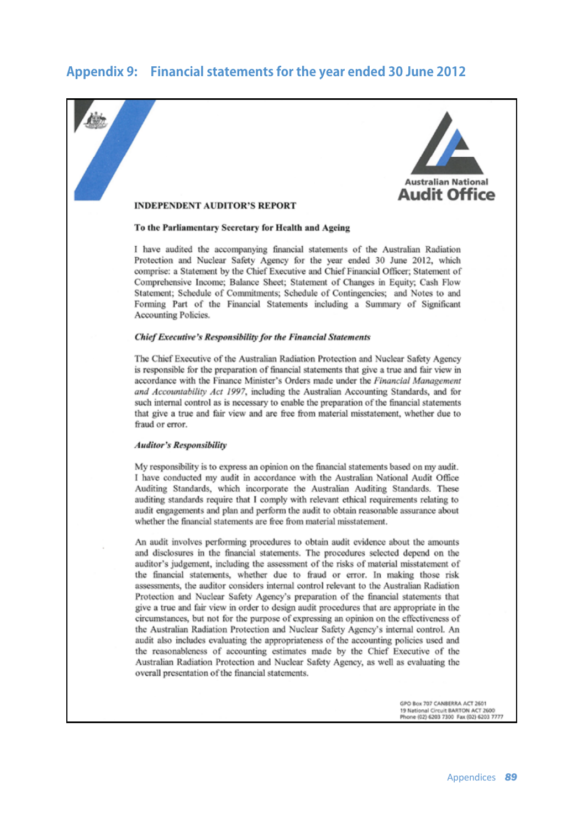# **Appendix 9: Financial statements for the year ended 30 June 2012**

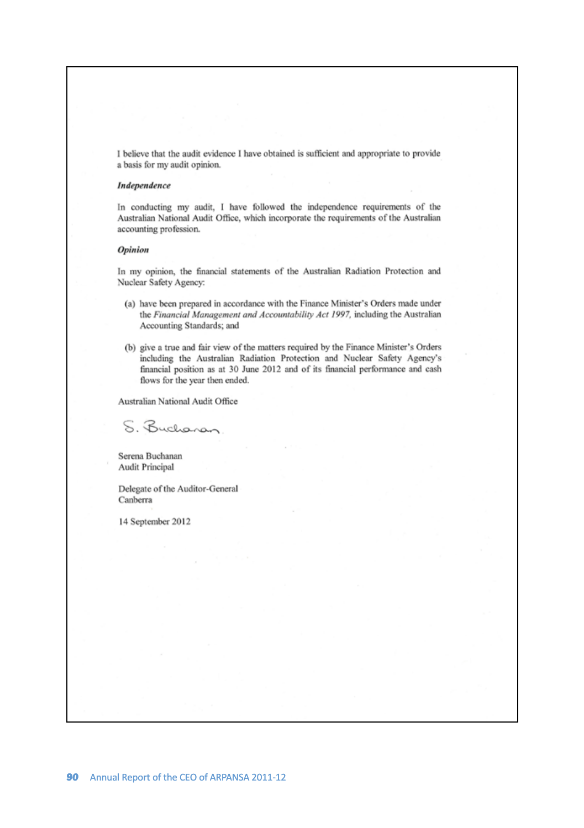I believe that the audit evidence I have obtained is sufficient and appropriate to provide a basis for my audit opinion.

### Independence

In conducting my audit, I have followed the independence requirements of the Australian National Audit Office, which incorporate the requirements of the Australian accounting profession.

### **Opinion**

In my opinion, the financial statements of the Australian Radiation Protection and Nuclear Safety Agency:

- (a) have been prepared in accordance with the Finance Minister's Orders made under the Financial Management and Accountability Act 1997, including the Australian Accounting Standards; and
- (b) give a true and fair view of the matters required by the Finance Minister's Orders including the Australian Radiation Protection and Nuclear Safety Agency's financial position as at 30 June 2012 and of its financial performance and cash flows for the year then ended.

Australian National Audit Office

S. Bucharan

Serena Buchanan Audit Principal

Delegate of the Auditor-General Canberra

14 September 2012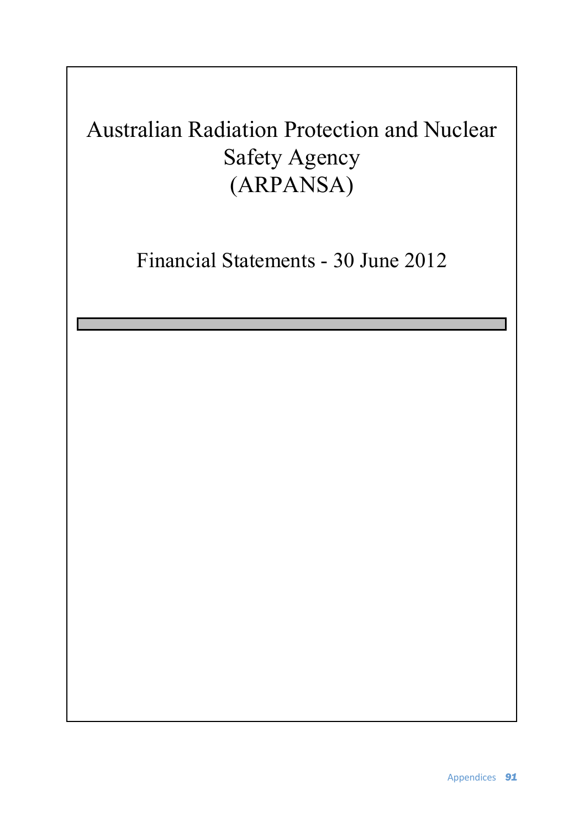# Australian Radiation Protection and Nuclear Safety Agency (ARPANSA)

Financial Statements - 30 June 2012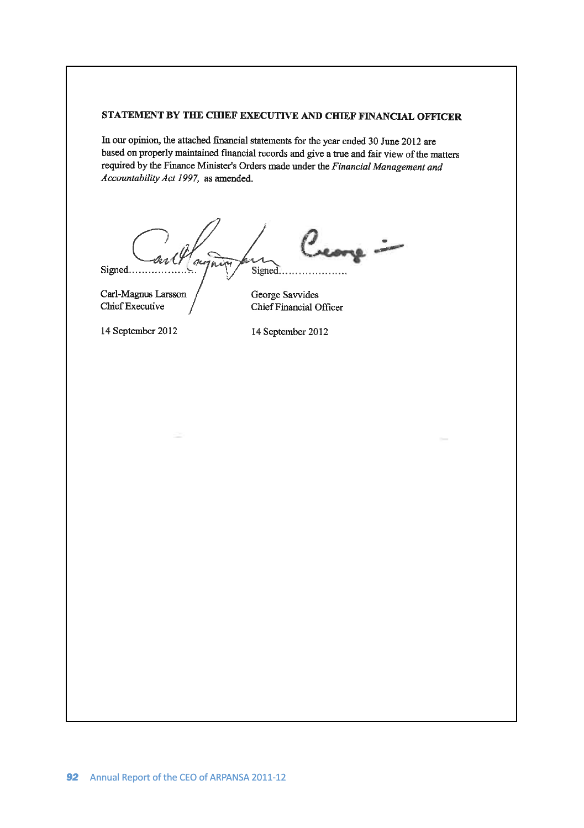# STATEMENT BY THE CHIEF EXECUTIVE AND CHIEF FINANCIAL OFFICER

In our opinion, the attached financial statements for the year ended 30 June 2012 are based on properly maintained financial records and give a true and fair view of the matters required by the Finance Minister's Orders made under the Financial Management and Accountability Act 1997, as amended.

core - $1 in x$ Signed... Signed....

Carl-Magnus Larsson Chief Executive

14 September 2012

14 September 2012

Chief Financial Officer

George Savvides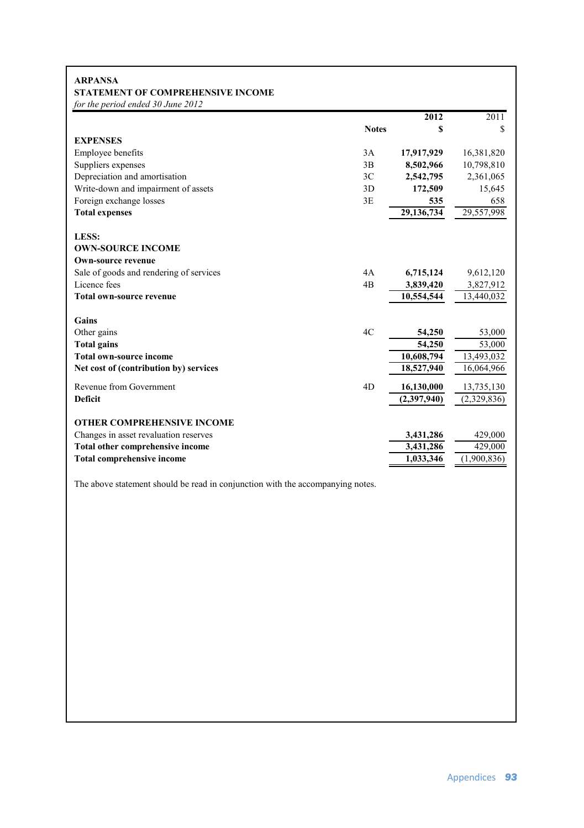### **STATEMENT OF COMPREHENSIVE INCOME ARPANSA**

*for the period ended 30 June 2012*

|                                         |              | $\overline{2012}$ | 2011         |
|-----------------------------------------|--------------|-------------------|--------------|
|                                         | <b>Notes</b> | \$                | \$           |
| <b>EXPENSES</b>                         |              |                   |              |
| Employee benefits                       | 3A           | 17,917,929        | 16,381,820   |
| Suppliers expenses                      | 3B           | 8,502,966         | 10,798,810   |
| Depreciation and amortisation           | 3C           | 2,542,795         | 2,361,065    |
| Write-down and impairment of assets     | 3D           | 172,509           | 15,645       |
| Foreign exchange losses                 | 3E           | 535               | 658          |
| <b>Total expenses</b>                   |              | 29,136,734        | 29,557,998   |
| LESS:                                   |              |                   |              |
| <b>OWN-SOURCE INCOME</b>                |              |                   |              |
| <b>Own-source revenue</b>               |              |                   |              |
| Sale of goods and rendering of services | 4A           | 6,715,124         | 9,612,120    |
| Licence fees                            | 4B           | 3,839,420         | 3,827,912    |
| <b>Total own-source revenue</b>         |              | 10,554,544        | 13,440,032   |
| Gains                                   |              |                   |              |
| Other gains                             | 4C           | 54,250            | 53,000       |
| <b>Total gains</b>                      |              | 54,250            | 53,000       |
| <b>Total own-source income</b>          |              | 10,608,794        | 13,493,032   |
| Net cost of (contribution by) services  |              | 18,527,940        | 16,064,966   |
| Revenue from Government                 | 4D           | 16,130,000        | 13,735,130   |
| <b>Deficit</b>                          |              | (2,397,940)       | (2,329,836)  |
| <b>OTHER COMPREHENSIVE INCOME</b>       |              |                   |              |
| Changes in asset revaluation reserves   |              | 3,431,286         | 429,000      |
| Total other comprehensive income        |              | 3,431,286         | 429,000      |
| <b>Total comprehensive income</b>       |              | 1,033,346         | (1.900, 836) |

The above statement should be read in conjunction with the accompanying notes.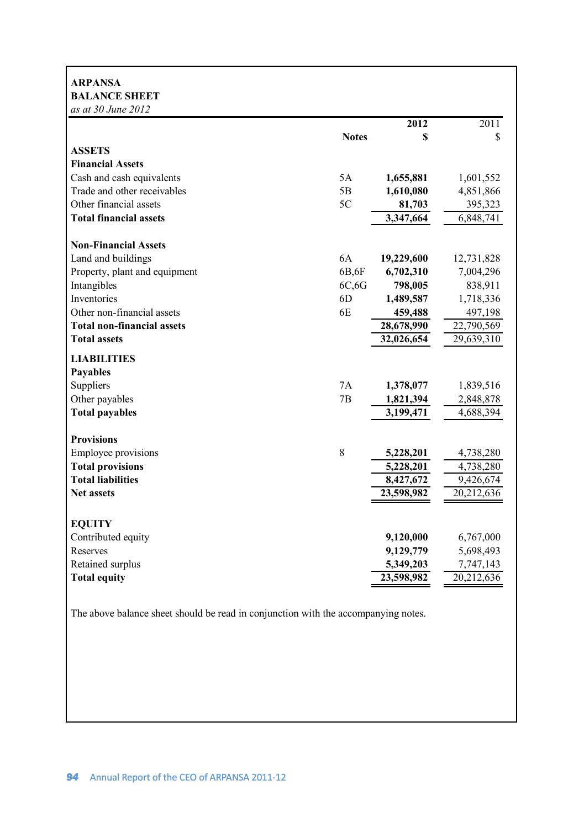# **ARPANSA BALANCE SHEET**

| as at 30 June 2012                |                |            |            |
|-----------------------------------|----------------|------------|------------|
|                                   |                | 2012       | 2011       |
|                                   | <b>Notes</b>   | \$         | \$         |
| <b>ASSETS</b>                     |                |            |            |
| <b>Financial Assets</b>           |                |            |            |
| Cash and cash equivalents         | 5A             | 1,655,881  | 1,601,552  |
| Trade and other receivables       | 5B             | 1,610,080  | 4,851,866  |
| Other financial assets            | 5C             | 81,703     | 395,323    |
| <b>Total financial assets</b>     |                | 3,347,664  | 6,848,741  |
| <b>Non-Financial Assets</b>       |                |            |            |
| Land and buildings                | 6A             | 19,229,600 | 12,731,828 |
| Property, plant and equipment     | 6B,6F          | 6,702,310  | 7,004,296  |
| Intangibles                       | 6C, 6G         | 798,005    | 838,911    |
| Inventories                       | 6 <sub>D</sub> | 1,489,587  | 1,718,336  |
| Other non-financial assets        | 6E             | 459,488    | 497,198    |
| <b>Total non-financial assets</b> |                | 28,678,990 | 22,790,569 |
| <b>Total assets</b>               |                | 32,026,654 | 29,639,310 |
| <b>LIABILITIES</b>                |                |            |            |
| <b>Payables</b>                   |                |            |            |
| Suppliers                         | 7A             | 1,378,077  | 1,839,516  |
| Other payables                    | 7B             | 1,821,394  | 2,848,878  |
| <b>Total payables</b>             |                | 3,199,471  | 4,688,394  |
| <b>Provisions</b>                 |                |            |            |
| <b>Employee provisions</b>        | 8              | 5,228,201  | 4,738,280  |
| <b>Total provisions</b>           |                | 5,228,201  | 4,738,280  |
| <b>Total liabilities</b>          |                | 8,427,672  | 9,426,674  |
| <b>Net assets</b>                 |                | 23,598,982 | 20,212,636 |
| <b>EQUITY</b>                     |                |            |            |
| Contributed equity                |                | 9,120,000  | 6,767,000  |
| Reserves                          |                | 9,129,779  | 5,698,493  |
| Retained surplus                  |                | 5,349,203  | 7,747,143  |
| <b>Total equity</b>               |                | 23,598,982 | 20,212,636 |
|                                   |                |            |            |

The above balance sheet should be read in conjunction with the accompanying notes.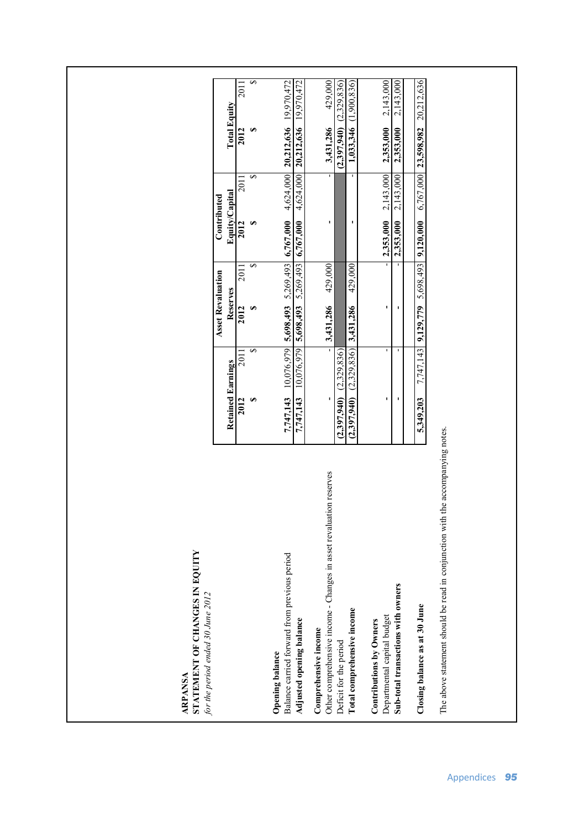ARPANSA<br>STATEMENT OF CHANGES IN EQUITY **STATEMENT OF CHANGES IN EQUITY**  for the period ended 30 June 2012 *for the period ended 30 June 2012* **ARPANSA**

The above statement should be read in conjunction with the accompanying notes. The above statement should be read in conjunction with the accompanying notes.

| or the period entied 50 June 2012                                                             |                                                                                                    |      |                          |                |                         |                                                 |                           |
|-----------------------------------------------------------------------------------------------|----------------------------------------------------------------------------------------------------|------|--------------------------|----------------|-------------------------|-------------------------------------------------|---------------------------|
|                                                                                               |                                                                                                    |      | <b>Asset Revaluation</b> | Contributed    |                         |                                                 |                           |
|                                                                                               | <b>Retained Earnings</b>                                                                           |      | Reserves                 | Equity/Capital |                         | <b>Total Equity</b>                             |                           |
|                                                                                               | 201<br>2012                                                                                        | 2012 | 201                      | 2012           | 201                     | 2012                                            | 201                       |
|                                                                                               |                                                                                                    |      |                          |                |                         |                                                 |                           |
| period<br>Balance carried forward from previous p<br>Opening balance                          | $7,747,143$ 10.076.979 5.698.493 5.269.493 6.767.000 4.624.000 20.212.636 19.970.472               |      |                          |                |                         |                                                 |                           |
| Adjusted opening balance                                                                      | $7,747,143$ $10,076,979$ $5,698,493$ $5,269,493$ $6,767,000$ $4,624,000$ $20,212,636$ $19,970,472$ |      |                          |                |                         |                                                 |                           |
| in asset revaluation reserves<br>Other comprehensive income - Changes<br>Comprehensive income |                                                                                                    |      | $3,431,286$ $429,000$    |                |                         | 3,431,286                                       | 429,000                   |
| Deficit for the period                                                                        | $(2,397,940)$ $(2,329,836)$                                                                        |      |                          |                |                         | $(2.397,940)$ $(2.329,836)$                     |                           |
| Total comprehensive income                                                                    | $(2,397,940)$ $(2,329,836)$ $3,431,286$                                                            |      | 429.000                  |                |                         |                                                 | $1,033.346$ $(1.900.836)$ |
| Contributions by Owners                                                                       |                                                                                                    |      |                          |                |                         |                                                 |                           |
| Departmental capital budget                                                                   |                                                                                                    |      |                          |                |                         | $2,353,000$ $2,143,000$ $2,353,000$ $2,143,000$ |                           |
| Sub-total transactions with owners                                                            |                                                                                                    |      |                          |                | $2,353,000$ $2,143,000$ | 2,353,000                                       | 2,143,000                 |
|                                                                                               |                                                                                                    |      |                          |                |                         |                                                 |                           |
| Closing balance as at 30 June                                                                 | 5,349,203 7,747,143 9,129,779 5,698,493 9,120,000 6,767,000 23,598,982 20,212,636                  |      |                          |                |                         |                                                 |                           |
|                                                                                               |                                                                                                    |      |                          |                |                         |                                                 |                           |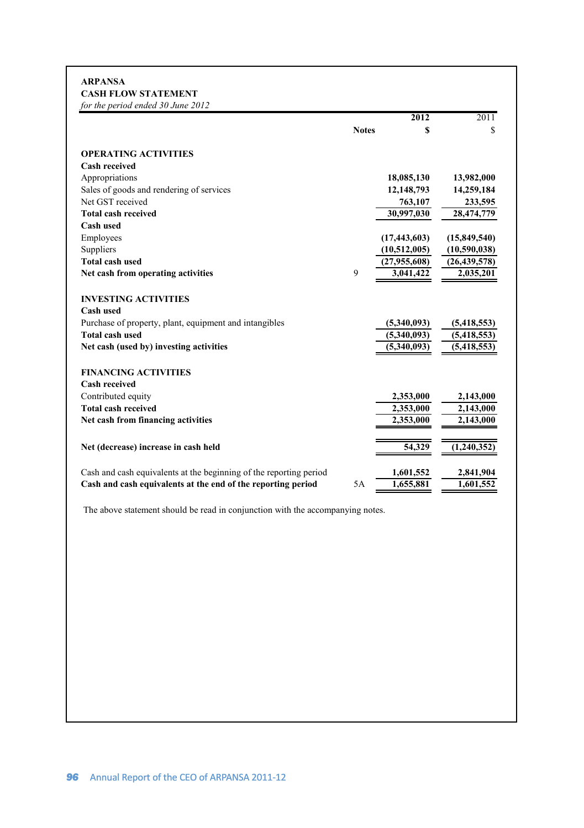# **ARPANSA CASH FLOW STATEMENT**

| for the period ended 30 June 2012                                  |              |                |                   |
|--------------------------------------------------------------------|--------------|----------------|-------------------|
|                                                                    |              | $\sqrt{2012}$  | $\overline{2011}$ |
|                                                                    | <b>Notes</b> | S              | \$                |
| <b>OPERATING ACTIVITIES</b>                                        |              |                |                   |
| <b>Cash received</b>                                               |              |                |                   |
| Appropriations                                                     |              | 18,085,130     | 13,982,000        |
| Sales of goods and rendering of services                           |              | 12,148,793     | 14,259,184        |
| Net GST received                                                   |              | 763,107        | 233,595           |
| <b>Total cash received</b>                                         |              | 30,997,030     | 28,474,779        |
| Cash used                                                          |              |                |                   |
| Employees                                                          |              | (17, 443, 603) | (15,849,540)      |
| Suppliers                                                          |              | (10,512,005)   | (10,590,038)      |
| <b>Total cash used</b>                                             |              | (27,955,608)   | (26, 439, 578)    |
| Net cash from operating activities                                 | 9            | 3,041,422      | 2,035,201         |
| <b>INVESTING ACTIVITIES</b>                                        |              |                |                   |
| Cash used                                                          |              |                |                   |
| Purchase of property, plant, equipment and intangibles             |              | (5,340,093)    | (5,418,553)       |
| <b>Total cash used</b>                                             |              | (5,340,093)    | (5,418,553)       |
| Net cash (used by) investing activities                            |              | (5,340,093)    | (5, 418, 553)     |
| <b>FINANCING ACTIVITIES</b>                                        |              |                |                   |
| <b>Cash received</b>                                               |              |                |                   |
| Contributed equity                                                 |              | 2,353,000      | 2,143,000         |
| <b>Total cash received</b>                                         |              | 2,353,000      | 2,143,000         |
| Net cash from financing activities                                 |              | 2,353,000      | 2,143,000         |
|                                                                    |              |                |                   |
| Net (decrease) increase in cash held                               |              | 54,329         | (1,240,352)       |
| Cash and cash equivalents at the beginning of the reporting period |              | 1,601,552      | 2,841,904         |
| Cash and cash equivalents at the end of the reporting period       | 5A           | 1,655,881      | 1,601,552         |
|                                                                    |              |                |                   |

The above statement should be read in conjunction with the accompanying notes.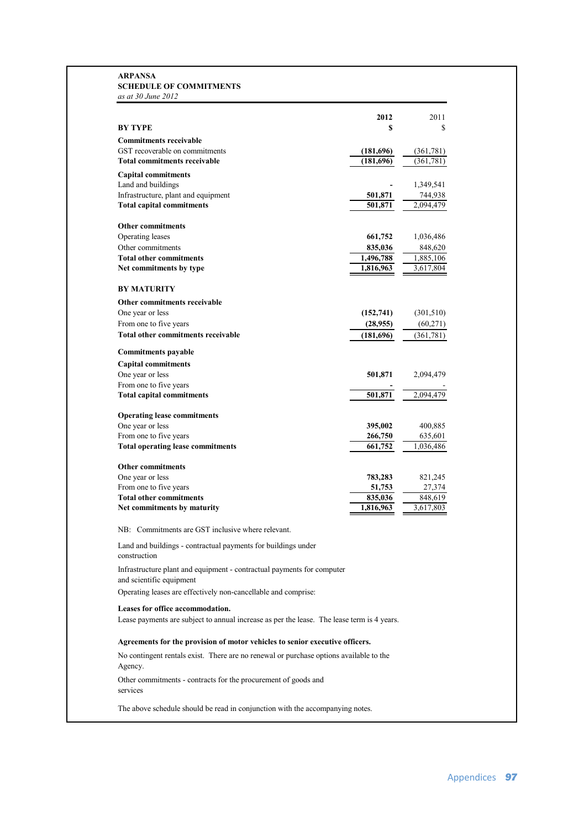### **SCHEDULE OF COMMITMENTS ARPANSA** *as at 30 June 2012*

| <b>BY TYPE</b><br>s<br>S<br><b>Commitments receivable</b><br>GST recoverable on commitments<br>(181,696)<br>(361, 781)<br><b>Total commitments receivable</b><br>(181, 696)<br>(361, 781)<br><b>Capital commitments</b><br>Land and buildings<br>1,349,541<br>Infrastructure, plant and equipment<br>744,938<br>501,871<br><b>Total capital commitments</b><br>501,871<br>2.094.479<br>Other commitments<br>Operating leases<br>661,752<br>1,036,486<br>Other commitments<br>835,036<br>848,620<br><b>Total other commitments</b><br>1,496,788<br>1,885,106<br>Net commitments by type<br>1,816,963<br>3,617,804<br><b>BY MATURITY</b><br>Other commitments receivable<br>One year or less<br>(301, 510)<br>(152, 741)<br>From one to five years<br>(28,955)<br>(60,271)<br>Total other commitments receivable<br>(181,696)<br>(361, 781)<br><b>Commitments payable</b><br><b>Capital commitments</b><br>One year or less<br>501,871<br>2,094,479<br>From one to five years<br>501,871<br>2,094,479<br><b>Total capital commitments</b><br><b>Operating lease commitments</b><br>One year or less<br>395,002<br>400,885<br>From one to five years<br>266,750<br>635,601<br><b>Total operating lease commitments</b><br>661,752<br>1,036,486<br><b>Other commitments</b><br>One year or less<br>783,283<br>821,245<br>From one to five years<br>51,753<br>27,374<br><b>Total other commitments</b><br>848,619<br>835,036<br>Net commitments by maturity<br>1,816,963<br>3,617,803<br>NB: Commitments are GST inclusive where relevant.<br>Land and buildings - contractual payments for buildings under<br>construction<br>Infrastructure plant and equipment - contractual payments for computer<br>and scientific equipment<br>Operating leases are effectively non-cancellable and comprise:<br>Leases for office accommodation.<br>Lease payments are subject to annual increase as per the lease. The lease term is 4 years.<br>Agreements for the provision of motor vehicles to senior executive officers.<br>No contingent rentals exist. There are no renewal or purchase options available to the<br>Agency. |                                                                | 2012 | 2011 |
|-----------------------------------------------------------------------------------------------------------------------------------------------------------------------------------------------------------------------------------------------------------------------------------------------------------------------------------------------------------------------------------------------------------------------------------------------------------------------------------------------------------------------------------------------------------------------------------------------------------------------------------------------------------------------------------------------------------------------------------------------------------------------------------------------------------------------------------------------------------------------------------------------------------------------------------------------------------------------------------------------------------------------------------------------------------------------------------------------------------------------------------------------------------------------------------------------------------------------------------------------------------------------------------------------------------------------------------------------------------------------------------------------------------------------------------------------------------------------------------------------------------------------------------------------------------------------------------------------------------------------------------------------------------------------------------------------------------------------------------------------------------------------------------------------------------------------------------------------------------------------------------------------------------------------------------------------------------------------------------------------------------------------------------------------------------------------------------------------------------------------|----------------------------------------------------------------|------|------|
|                                                                                                                                                                                                                                                                                                                                                                                                                                                                                                                                                                                                                                                                                                                                                                                                                                                                                                                                                                                                                                                                                                                                                                                                                                                                                                                                                                                                                                                                                                                                                                                                                                                                                                                                                                                                                                                                                                                                                                                                                                                                                                                       |                                                                |      |      |
|                                                                                                                                                                                                                                                                                                                                                                                                                                                                                                                                                                                                                                                                                                                                                                                                                                                                                                                                                                                                                                                                                                                                                                                                                                                                                                                                                                                                                                                                                                                                                                                                                                                                                                                                                                                                                                                                                                                                                                                                                                                                                                                       |                                                                |      |      |
|                                                                                                                                                                                                                                                                                                                                                                                                                                                                                                                                                                                                                                                                                                                                                                                                                                                                                                                                                                                                                                                                                                                                                                                                                                                                                                                                                                                                                                                                                                                                                                                                                                                                                                                                                                                                                                                                                                                                                                                                                                                                                                                       |                                                                |      |      |
|                                                                                                                                                                                                                                                                                                                                                                                                                                                                                                                                                                                                                                                                                                                                                                                                                                                                                                                                                                                                                                                                                                                                                                                                                                                                                                                                                                                                                                                                                                                                                                                                                                                                                                                                                                                                                                                                                                                                                                                                                                                                                                                       |                                                                |      |      |
|                                                                                                                                                                                                                                                                                                                                                                                                                                                                                                                                                                                                                                                                                                                                                                                                                                                                                                                                                                                                                                                                                                                                                                                                                                                                                                                                                                                                                                                                                                                                                                                                                                                                                                                                                                                                                                                                                                                                                                                                                                                                                                                       |                                                                |      |      |
|                                                                                                                                                                                                                                                                                                                                                                                                                                                                                                                                                                                                                                                                                                                                                                                                                                                                                                                                                                                                                                                                                                                                                                                                                                                                                                                                                                                                                                                                                                                                                                                                                                                                                                                                                                                                                                                                                                                                                                                                                                                                                                                       |                                                                |      |      |
|                                                                                                                                                                                                                                                                                                                                                                                                                                                                                                                                                                                                                                                                                                                                                                                                                                                                                                                                                                                                                                                                                                                                                                                                                                                                                                                                                                                                                                                                                                                                                                                                                                                                                                                                                                                                                                                                                                                                                                                                                                                                                                                       |                                                                |      |      |
|                                                                                                                                                                                                                                                                                                                                                                                                                                                                                                                                                                                                                                                                                                                                                                                                                                                                                                                                                                                                                                                                                                                                                                                                                                                                                                                                                                                                                                                                                                                                                                                                                                                                                                                                                                                                                                                                                                                                                                                                                                                                                                                       |                                                                |      |      |
|                                                                                                                                                                                                                                                                                                                                                                                                                                                                                                                                                                                                                                                                                                                                                                                                                                                                                                                                                                                                                                                                                                                                                                                                                                                                                                                                                                                                                                                                                                                                                                                                                                                                                                                                                                                                                                                                                                                                                                                                                                                                                                                       |                                                                |      |      |
|                                                                                                                                                                                                                                                                                                                                                                                                                                                                                                                                                                                                                                                                                                                                                                                                                                                                                                                                                                                                                                                                                                                                                                                                                                                                                                                                                                                                                                                                                                                                                                                                                                                                                                                                                                                                                                                                                                                                                                                                                                                                                                                       |                                                                |      |      |
|                                                                                                                                                                                                                                                                                                                                                                                                                                                                                                                                                                                                                                                                                                                                                                                                                                                                                                                                                                                                                                                                                                                                                                                                                                                                                                                                                                                                                                                                                                                                                                                                                                                                                                                                                                                                                                                                                                                                                                                                                                                                                                                       |                                                                |      |      |
|                                                                                                                                                                                                                                                                                                                                                                                                                                                                                                                                                                                                                                                                                                                                                                                                                                                                                                                                                                                                                                                                                                                                                                                                                                                                                                                                                                                                                                                                                                                                                                                                                                                                                                                                                                                                                                                                                                                                                                                                                                                                                                                       |                                                                |      |      |
|                                                                                                                                                                                                                                                                                                                                                                                                                                                                                                                                                                                                                                                                                                                                                                                                                                                                                                                                                                                                                                                                                                                                                                                                                                                                                                                                                                                                                                                                                                                                                                                                                                                                                                                                                                                                                                                                                                                                                                                                                                                                                                                       |                                                                |      |      |
|                                                                                                                                                                                                                                                                                                                                                                                                                                                                                                                                                                                                                                                                                                                                                                                                                                                                                                                                                                                                                                                                                                                                                                                                                                                                                                                                                                                                                                                                                                                                                                                                                                                                                                                                                                                                                                                                                                                                                                                                                                                                                                                       |                                                                |      |      |
|                                                                                                                                                                                                                                                                                                                                                                                                                                                                                                                                                                                                                                                                                                                                                                                                                                                                                                                                                                                                                                                                                                                                                                                                                                                                                                                                                                                                                                                                                                                                                                                                                                                                                                                                                                                                                                                                                                                                                                                                                                                                                                                       |                                                                |      |      |
|                                                                                                                                                                                                                                                                                                                                                                                                                                                                                                                                                                                                                                                                                                                                                                                                                                                                                                                                                                                                                                                                                                                                                                                                                                                                                                                                                                                                                                                                                                                                                                                                                                                                                                                                                                                                                                                                                                                                                                                                                                                                                                                       |                                                                |      |      |
|                                                                                                                                                                                                                                                                                                                                                                                                                                                                                                                                                                                                                                                                                                                                                                                                                                                                                                                                                                                                                                                                                                                                                                                                                                                                                                                                                                                                                                                                                                                                                                                                                                                                                                                                                                                                                                                                                                                                                                                                                                                                                                                       |                                                                |      |      |
|                                                                                                                                                                                                                                                                                                                                                                                                                                                                                                                                                                                                                                                                                                                                                                                                                                                                                                                                                                                                                                                                                                                                                                                                                                                                                                                                                                                                                                                                                                                                                                                                                                                                                                                                                                                                                                                                                                                                                                                                                                                                                                                       |                                                                |      |      |
|                                                                                                                                                                                                                                                                                                                                                                                                                                                                                                                                                                                                                                                                                                                                                                                                                                                                                                                                                                                                                                                                                                                                                                                                                                                                                                                                                                                                                                                                                                                                                                                                                                                                                                                                                                                                                                                                                                                                                                                                                                                                                                                       |                                                                |      |      |
|                                                                                                                                                                                                                                                                                                                                                                                                                                                                                                                                                                                                                                                                                                                                                                                                                                                                                                                                                                                                                                                                                                                                                                                                                                                                                                                                                                                                                                                                                                                                                                                                                                                                                                                                                                                                                                                                                                                                                                                                                                                                                                                       |                                                                |      |      |
|                                                                                                                                                                                                                                                                                                                                                                                                                                                                                                                                                                                                                                                                                                                                                                                                                                                                                                                                                                                                                                                                                                                                                                                                                                                                                                                                                                                                                                                                                                                                                                                                                                                                                                                                                                                                                                                                                                                                                                                                                                                                                                                       |                                                                |      |      |
|                                                                                                                                                                                                                                                                                                                                                                                                                                                                                                                                                                                                                                                                                                                                                                                                                                                                                                                                                                                                                                                                                                                                                                                                                                                                                                                                                                                                                                                                                                                                                                                                                                                                                                                                                                                                                                                                                                                                                                                                                                                                                                                       |                                                                |      |      |
|                                                                                                                                                                                                                                                                                                                                                                                                                                                                                                                                                                                                                                                                                                                                                                                                                                                                                                                                                                                                                                                                                                                                                                                                                                                                                                                                                                                                                                                                                                                                                                                                                                                                                                                                                                                                                                                                                                                                                                                                                                                                                                                       |                                                                |      |      |
|                                                                                                                                                                                                                                                                                                                                                                                                                                                                                                                                                                                                                                                                                                                                                                                                                                                                                                                                                                                                                                                                                                                                                                                                                                                                                                                                                                                                                                                                                                                                                                                                                                                                                                                                                                                                                                                                                                                                                                                                                                                                                                                       |                                                                |      |      |
|                                                                                                                                                                                                                                                                                                                                                                                                                                                                                                                                                                                                                                                                                                                                                                                                                                                                                                                                                                                                                                                                                                                                                                                                                                                                                                                                                                                                                                                                                                                                                                                                                                                                                                                                                                                                                                                                                                                                                                                                                                                                                                                       |                                                                |      |      |
|                                                                                                                                                                                                                                                                                                                                                                                                                                                                                                                                                                                                                                                                                                                                                                                                                                                                                                                                                                                                                                                                                                                                                                                                                                                                                                                                                                                                                                                                                                                                                                                                                                                                                                                                                                                                                                                                                                                                                                                                                                                                                                                       |                                                                |      |      |
|                                                                                                                                                                                                                                                                                                                                                                                                                                                                                                                                                                                                                                                                                                                                                                                                                                                                                                                                                                                                                                                                                                                                                                                                                                                                                                                                                                                                                                                                                                                                                                                                                                                                                                                                                                                                                                                                                                                                                                                                                                                                                                                       |                                                                |      |      |
|                                                                                                                                                                                                                                                                                                                                                                                                                                                                                                                                                                                                                                                                                                                                                                                                                                                                                                                                                                                                                                                                                                                                                                                                                                                                                                                                                                                                                                                                                                                                                                                                                                                                                                                                                                                                                                                                                                                                                                                                                                                                                                                       |                                                                |      |      |
|                                                                                                                                                                                                                                                                                                                                                                                                                                                                                                                                                                                                                                                                                                                                                                                                                                                                                                                                                                                                                                                                                                                                                                                                                                                                                                                                                                                                                                                                                                                                                                                                                                                                                                                                                                                                                                                                                                                                                                                                                                                                                                                       |                                                                |      |      |
|                                                                                                                                                                                                                                                                                                                                                                                                                                                                                                                                                                                                                                                                                                                                                                                                                                                                                                                                                                                                                                                                                                                                                                                                                                                                                                                                                                                                                                                                                                                                                                                                                                                                                                                                                                                                                                                                                                                                                                                                                                                                                                                       |                                                                |      |      |
|                                                                                                                                                                                                                                                                                                                                                                                                                                                                                                                                                                                                                                                                                                                                                                                                                                                                                                                                                                                                                                                                                                                                                                                                                                                                                                                                                                                                                                                                                                                                                                                                                                                                                                                                                                                                                                                                                                                                                                                                                                                                                                                       |                                                                |      |      |
|                                                                                                                                                                                                                                                                                                                                                                                                                                                                                                                                                                                                                                                                                                                                                                                                                                                                                                                                                                                                                                                                                                                                                                                                                                                                                                                                                                                                                                                                                                                                                                                                                                                                                                                                                                                                                                                                                                                                                                                                                                                                                                                       |                                                                |      |      |
|                                                                                                                                                                                                                                                                                                                                                                                                                                                                                                                                                                                                                                                                                                                                                                                                                                                                                                                                                                                                                                                                                                                                                                                                                                                                                                                                                                                                                                                                                                                                                                                                                                                                                                                                                                                                                                                                                                                                                                                                                                                                                                                       |                                                                |      |      |
|                                                                                                                                                                                                                                                                                                                                                                                                                                                                                                                                                                                                                                                                                                                                                                                                                                                                                                                                                                                                                                                                                                                                                                                                                                                                                                                                                                                                                                                                                                                                                                                                                                                                                                                                                                                                                                                                                                                                                                                                                                                                                                                       |                                                                |      |      |
|                                                                                                                                                                                                                                                                                                                                                                                                                                                                                                                                                                                                                                                                                                                                                                                                                                                                                                                                                                                                                                                                                                                                                                                                                                                                                                                                                                                                                                                                                                                                                                                                                                                                                                                                                                                                                                                                                                                                                                                                                                                                                                                       |                                                                |      |      |
|                                                                                                                                                                                                                                                                                                                                                                                                                                                                                                                                                                                                                                                                                                                                                                                                                                                                                                                                                                                                                                                                                                                                                                                                                                                                                                                                                                                                                                                                                                                                                                                                                                                                                                                                                                                                                                                                                                                                                                                                                                                                                                                       |                                                                |      |      |
|                                                                                                                                                                                                                                                                                                                                                                                                                                                                                                                                                                                                                                                                                                                                                                                                                                                                                                                                                                                                                                                                                                                                                                                                                                                                                                                                                                                                                                                                                                                                                                                                                                                                                                                                                                                                                                                                                                                                                                                                                                                                                                                       |                                                                |      |      |
|                                                                                                                                                                                                                                                                                                                                                                                                                                                                                                                                                                                                                                                                                                                                                                                                                                                                                                                                                                                                                                                                                                                                                                                                                                                                                                                                                                                                                                                                                                                                                                                                                                                                                                                                                                                                                                                                                                                                                                                                                                                                                                                       |                                                                |      |      |
|                                                                                                                                                                                                                                                                                                                                                                                                                                                                                                                                                                                                                                                                                                                                                                                                                                                                                                                                                                                                                                                                                                                                                                                                                                                                                                                                                                                                                                                                                                                                                                                                                                                                                                                                                                                                                                                                                                                                                                                                                                                                                                                       |                                                                |      |      |
|                                                                                                                                                                                                                                                                                                                                                                                                                                                                                                                                                                                                                                                                                                                                                                                                                                                                                                                                                                                                                                                                                                                                                                                                                                                                                                                                                                                                                                                                                                                                                                                                                                                                                                                                                                                                                                                                                                                                                                                                                                                                                                                       |                                                                |      |      |
|                                                                                                                                                                                                                                                                                                                                                                                                                                                                                                                                                                                                                                                                                                                                                                                                                                                                                                                                                                                                                                                                                                                                                                                                                                                                                                                                                                                                                                                                                                                                                                                                                                                                                                                                                                                                                                                                                                                                                                                                                                                                                                                       |                                                                |      |      |
|                                                                                                                                                                                                                                                                                                                                                                                                                                                                                                                                                                                                                                                                                                                                                                                                                                                                                                                                                                                                                                                                                                                                                                                                                                                                                                                                                                                                                                                                                                                                                                                                                                                                                                                                                                                                                                                                                                                                                                                                                                                                                                                       |                                                                |      |      |
|                                                                                                                                                                                                                                                                                                                                                                                                                                                                                                                                                                                                                                                                                                                                                                                                                                                                                                                                                                                                                                                                                                                                                                                                                                                                                                                                                                                                                                                                                                                                                                                                                                                                                                                                                                                                                                                                                                                                                                                                                                                                                                                       |                                                                |      |      |
|                                                                                                                                                                                                                                                                                                                                                                                                                                                                                                                                                                                                                                                                                                                                                                                                                                                                                                                                                                                                                                                                                                                                                                                                                                                                                                                                                                                                                                                                                                                                                                                                                                                                                                                                                                                                                                                                                                                                                                                                                                                                                                                       | Other commitments - contracts for the procurement of goods and |      |      |

services

The above schedule should be read in conjunction with the accompanying notes.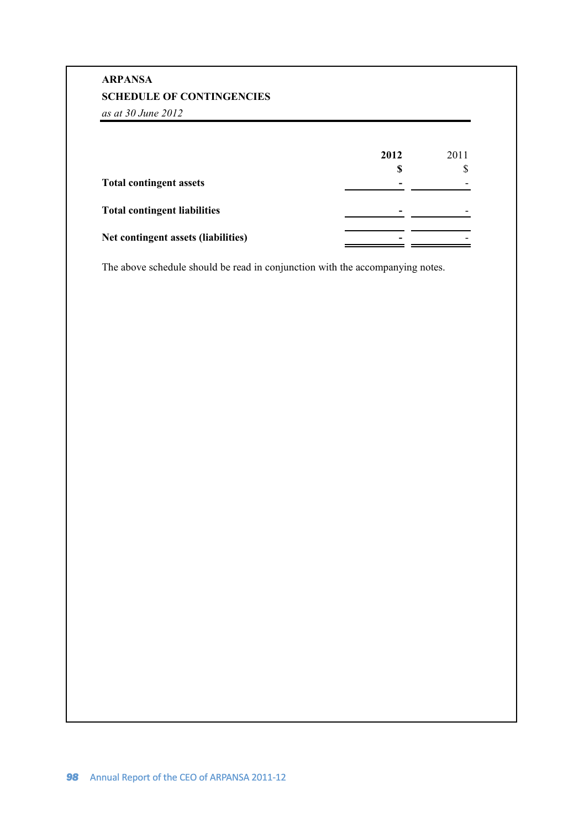# **SCHEDULE OF CONTINGENCIES ARPANSA**

*as at 30 June 2012*

|                                     | 2012<br>S | 2011                     |
|-------------------------------------|-----------|--------------------------|
| <b>Total contingent assets</b>      |           |                          |
| <b>Total contingent liabilities</b> | -         | $\overline{\phantom{0}}$ |
| Net contingent assets (liabilities) | -         |                          |

The above schedule should be read in conjunction with the accompanying notes.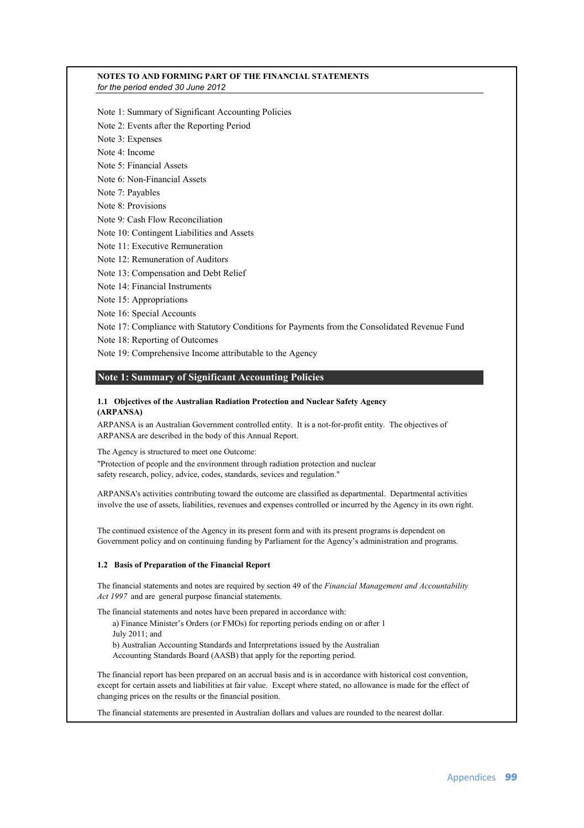### **NOTES TO AND FORMING PART OF THE FINANCIAL STATEMENTS** *for the period ended 30 June 2012*

- Note 1: Summary of Significant Accounting Policies
- Note 2: Events after the Reporting Period
- Note 3: Expenses
- Note 4: Income
- Note 5: Financial Assets
- Note 6: Non-Financial Assets
- Note 7: Payables
- Note 8: Provisions
- Note 9: Cash Flow Reconciliation
- Note 10: Contingent Liabilities and Assets
- Note 11: Executive Remuneration
- Note 12: Remuneration of Auditors
- Note 13: Compensation and Debt Relief
- Note 14: Financial Instruments
- Note 15: Appropriations
- Note 16: Special Accounts
- Note 17: Compliance with Statutory Conditions for Payments from the Consolidated Revenue Fund
- Note 18: Reporting of Outcomes
- Note 19: Comprehensive Income attributable to the Agency

### **Note 1: Summary of Significant Accounting Policies**

### **1.1 Objectives of the Australian Radiation Protection and Nuclear Safety Agency (ARPANSA)**

ARPANSA is an Australian Government controlled entity. It is a not-for-profit entity. The objectives of ARPANSA are described in the body of this Annual Report.

The Agency is structured to meet one Outcome:

"Protection of people and the environment through radiation protection and nuclear safety research, policy, advice, codes, standards, sevices and regulation."

ARPANSA's activities contributing toward the outcome are classified as departmental. Departmental activities involve the use of assets, liabilities, revenues and expenses controlled or incurred by the Agency in its own right.

The continued existence of the Agency in its present form and with its present programs is dependent on Government policy and on continuing funding by Parliament for the Agency's administration and programs.

### **1.2 Basis of Preparation of the Financial Report**

The financial statements and notes are required by section 49 of the *Financial Management and Accountability Act 1997* and are general purpose financial statements.

The financial statements and notes have been prepared in accordance with:

a) Finance Minister's Orders (or FMOs) for reporting periods ending on or after 1 July 2011; and b) Australian Accounting Standards and Interpretations issued by the Australian

Accounting Standards Board (AASB) that apply for the reporting period.

The financial report has been prepared on an accrual basis and is in accordance with historical cost convention, except for certain assets and liabilities at fair value. Except where stated, no allowance is made for the effect of changing prices on the results or the financial position.

The financial statements are presented in Australian dollars and values are rounded to the nearest dollar.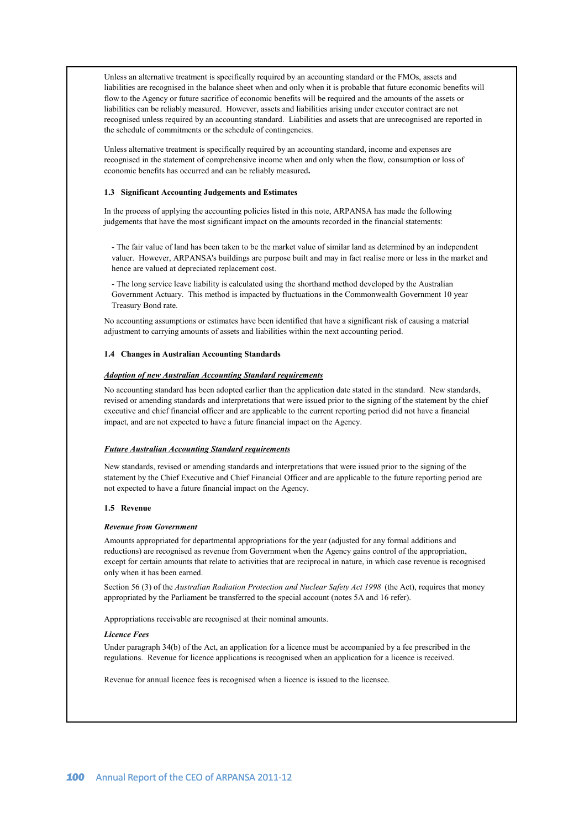Unless an alternative treatment is specifically required by an accounting standard or the FMOs, assets and liabilities are recognised in the balance sheet when and only when it is probable that future economic benefits will flow to the Agency or future sacrifice of economic benefits will be required and the amounts of the assets or liabilities can be reliably measured. However, assets and liabilities arising under executor contract are not recognised unless required by an accounting standard. Liabilities and assets that are unrecognised are reported in the schedule of commitments or the schedule of contingencies.

Unless alternative treatment is specifically required by an accounting standard, income and expenses are recognised in the statement of comprehensive income when and only when the flow, consumption or loss of economic benefits has occurred and can be reliably measured**.**

### **1.3 Significant Accounting Judgements and Estimates**

In the process of applying the accounting policies listed in this note, ARPANSA has made the following judgements that have the most significant impact on the amounts recorded in the financial statements:

- The fair value of land has been taken to be the market value of similar land as determined by an independent valuer. However, ARPANSA's buildings are purpose built and may in fact realise more or less in the market and hence are valued at depreciated replacement cost.

- The long service leave liability is calculated using the shorthand method developed by the Australian Government Actuary. This method is impacted by fluctuations in the Commonwealth Government 10 year Treasury Bond rate.

No accounting assumptions or estimates have been identified that have a significant risk of causing a material adjustment to carrying amounts of assets and liabilities within the next accounting period.

### **1.4 Changes in Australian Accounting Standards**

### *Adoption of new Australian Accounting Standard requirements*

No accounting standard has been adopted earlier than the application date stated in the standard. New standards, revised or amending standards and interpretations that were issued prior to the signing of the statement by the chief executive and chief financial officer and are applicable to the current reporting period did not have a financial impact, and are not expected to have a future financial impact on the Agency.

### *Future Australian Accounting Standard requirements*

New standards, revised or amending standards and interpretations that were issued prior to the signing of the statement by the Chief Executive and Chief Financial Officer and are applicable to the future reporting period are not expected to have a future financial impact on the Agency.

### **1.5 Revenue**

### *Revenue from Government*

Amounts appropriated for departmental appropriations for the year (adjusted for any formal additions and reductions) are recognised as revenue from Government when the Agency gains control of the appropriation, except for certain amounts that relate to activities that are reciprocal in nature, in which case revenue is recognised only when it has been earned.

Section 56 (3) of the *Australian Radiation Protection and Nuclear Safety Act 1998* (the Act), requires that money appropriated by the Parliament be transferred to the special account (notes 5A and 16 refer).

Appropriations receivable are recognised at their nominal amounts.

### *Licence Fees*

Under paragraph 34(b) of the Act, an application for a licence must be accompanied by a fee prescribed in the regulations. Revenue for licence applications is recognised when an application for a licence is received.

Revenue for annual licence fees is recognised when a licence is issued to the licensee.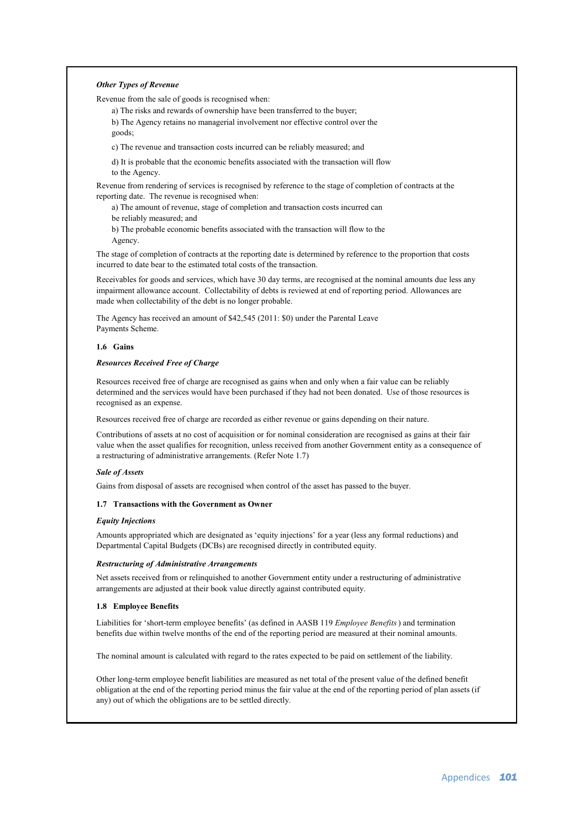### *Other Types of Revenue*

Revenue from the sale of goods is recognised when:

a) The risks and rewards of ownership have been transferred to the buyer; b) The Agency retains no managerial involvement nor effective control over the goods;

c) The revenue and transaction costs incurred can be reliably measured; and

d) It is probable that the economic benefits associated with the transaction will flow to the Agency.

Revenue from rendering of services is recognised by reference to the stage of completion of contracts at the reporting date. The revenue is recognised when:

a) The amount of revenue, stage of completion and transaction costs incurred can

be reliably measured; and

b) The probable economic benefits associated with the transaction will flow to the Agency.

The stage of completion of contracts at the reporting date is determined by reference to the proportion that costs incurred to date bear to the estimated total costs of the transaction.

Receivables for goods and services, which have 30 day terms, are recognised at the nominal amounts due less any impairment allowance account. Collectability of debts is reviewed at end of reporting period. Allowances are made when collectability of the debt is no longer probable.

The Agency has received an amount of \$42,545 (2011: \$0) under the Parental Leave Payments Scheme.

### **1.6 Gains**

### *Resources Received Free of Charge*

Resources received free of charge are recognised as gains when and only when a fair value can be reliably determined and the services would have been purchased if they had not been donated. Use of those resources is recognised as an expense.

Resources received free of charge are recorded as either revenue or gains depending on their nature.

Contributions of assets at no cost of acquisition or for nominal consideration are recognised as gains at their fair value when the asset qualifies for recognition, unless received from another Government entity as a consequence of a restructuring of administrative arrangements. (Refer Note 1.7)

### *Sale of Assets*

Gains from disposal of assets are recognised when control of the asset has passed to the buyer.

### **1.7 Transactions with the Government as Owner**

### *Equity Injections*

Amounts appropriated which are designated as 'equity injections' for a year (less any formal reductions) and Departmental Capital Budgets (DCBs) are recognised directly in contributed equity.

### *Restructuring of Administrative Arrangements*

Net assets received from or relinquished to another Government entity under a restructuring of administrative arrangements are adjusted at their book value directly against contributed equity.

### **1.8 Employee Benefits**

Liabilities for 'short-term employee benefits' (as defined in AASB 119 *Employee Benefits*) and termination benefits due within twelve months of the end of the reporting period are measured at their nominal amounts.

The nominal amount is calculated with regard to the rates expected to be paid on settlement of the liability.

Other long-term employee benefit liabilities are measured as net total of the present value of the defined benefit obligation at the end of the reporting period minus the fair value at the end of the reporting period of plan assets (if any) out of which the obligations are to be settled directly.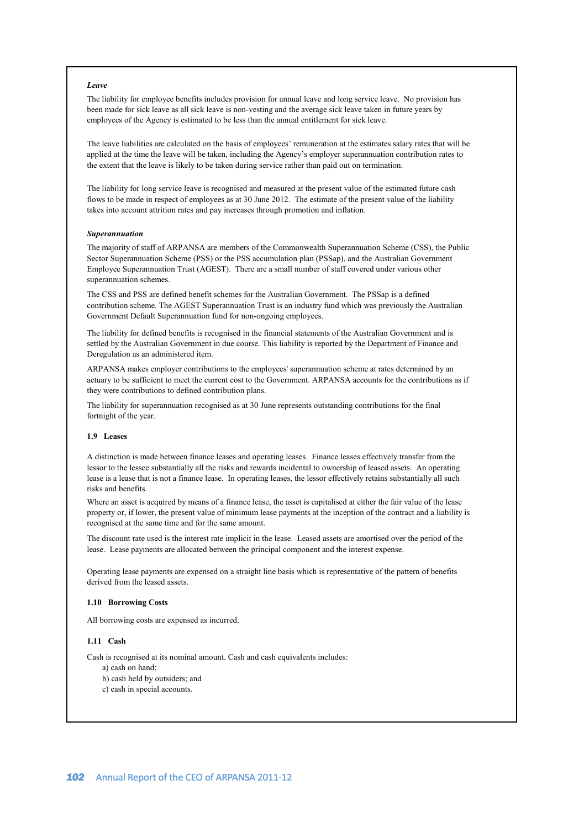### *Leave*

The liability for employee benefits includes provision for annual leave and long service leave. No provision has been made for sick leave as all sick leave is non-vesting and the average sick leave taken in future years by employees of the Agency is estimated to be less than the annual entitlement for sick leave.

The leave liabilities are calculated on the basis of employees' remuneration at the estimates salary rates that will be applied at the time the leave will be taken, including the Agency's employer superannuation contribution rates to the extent that the leave is likely to be taken during service rather than paid out on termination.

The liability for long service leave is recognised and measured at the present value of the estimated future cash flows to be made in respect of employees as at 30 June 2012. The estimate of the present value of the liability takes into account attrition rates and pay increases through promotion and inflation.

### *Superannuation*

The majority of staff of ARPANSA are members of the Commonwealth Superannuation Scheme (CSS), the Public Sector Superannuation Scheme (PSS) or the PSS accumulation plan (PSSap), and the Australian Government Employee Superannuation Trust (AGEST). There are a small number of staff covered under various other superannuation schemes.

The CSS and PSS are defined benefit schemes for the Australian Government. The PSSap is a defined contribution scheme. The AGEST Superannuation Trust is an industry fund which was previously the Australian Government Default Superannuation fund for non-ongoing employees.

The liability for defined benefits is recognised in the financial statements of the Australian Government and is settled by the Australian Government in due course. This liability is reported by the Department of Finance and Deregulation as an administered item.

ARPANSA makes employer contributions to the employees' superannuation scheme at rates determined by an actuary to be sufficient to meet the current cost to the Government. ARPANSA accounts for the contributions as if they were contributions to defined contribution plans.

The liability for superannuation recognised as at 30 June represents outstanding contributions for the final fortnight of the year.

### **1.9 Leases**

A distinction is made between finance leases and operating leases. Finance leases effectively transfer from the lessor to the lessee substantially all the risks and rewards incidental to ownership of leased assets. An operating lease is a lease that is not a finance lease. In operating leases, the lessor effectively retains substantially all such risks and benefits.

Where an asset is acquired by means of a finance lease, the asset is capitalised at either the fair value of the lease property or, if lower, the present value of minimum lease payments at the inception of the contract and a liability is recognised at the same time and for the same amount.

The discount rate used is the interest rate implicit in the lease. Leased assets are amortised over the period of the lease. Lease payments are allocated between the principal component and the interest expense.

Operating lease payments are expensed on a straight line basis which is representative of the pattern of benefits derived from the leased assets.

### **1.10 Borrowing Costs**

All borrowing costs are expensed as incurred.

### **1.11 Cash**

Cash is recognised at its nominal amount. Cash and cash equivalents includes:

a) cash on hand;

b) cash held by outsiders; and

c) cash in special accounts.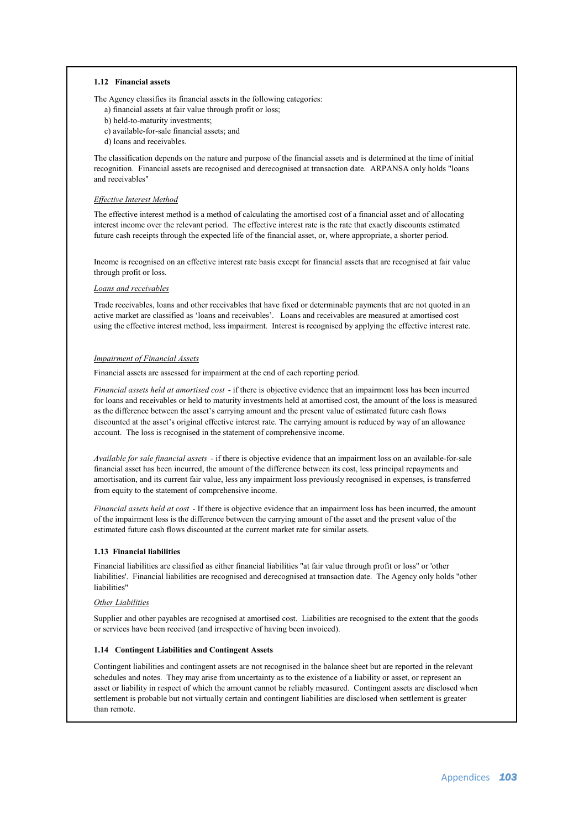### **1.12 Financial assets**

The Agency classifies its financial assets in the following categories:

- a) financial assets at fair value through profit or loss;
- b) held-to-maturity investments;
- c) available-for-sale financial assets; and
- d) loans and receivables.

The classification depends on the nature and purpose of the financial assets and is determined at the time of initial recognition. Financial assets are recognised and derecognised at transaction date. ARPANSA only holds "loans and receivables"

### *Effective Interest Method*

The effective interest method is a method of calculating the amortised cost of a financial asset and of allocating interest income over the relevant period. The effective interest rate is the rate that exactly discounts estimated future cash receipts through the expected life of the financial asset, or, where appropriate, a shorter period.

Income is recognised on an effective interest rate basis except for financial assets that are recognised at fair value through profit or loss.

### *Loans and receivables*

Trade receivables, loans and other receivables that have fixed or determinable payments that are not quoted in an active market are classified as 'loans and receivables'. Loans and receivables are measured at amortised cost using the effective interest method, less impairment. Interest is recognised by applying the effective interest rate.

### *Impairment of Financial Assets*

Financial assets are assessed for impairment at the end of each reporting period.

*Financial assets held at amortised cost* - if there is objective evidence that an impairment loss has been incurred for loans and receivables or held to maturity investments held at amortised cost, the amount of the loss is measured as the difference between the asset's carrying amount and the present value of estimated future cash flows discounted at the asset's original effective interest rate. The carrying amount is reduced by way of an allowance account. The loss is recognised in the statement of comprehensive income.

*Available for sale financial assets* - if there is objective evidence that an impairment loss on an available-for-sale financial asset has been incurred, the amount of the difference between its cost, less principal repayments and amortisation, and its current fair value, less any impairment loss previously recognised in expenses, is transferred from equity to the statement of comprehensive income.

*Financial assets held at cost* - If there is objective evidence that an impairment loss has been incurred, the amount of the impairment loss is the difference between the carrying amount of the asset and the present value of the estimated future cash flows discounted at the current market rate for similar assets.

### **1.13 Financial liabilities**

Financial liabilities are classified as either financial liabilities "at fair value through profit or loss" or 'other liabilities'. Financial liabilities are recognised and derecognised at transaction date. The Agency only holds "other liabilities"

### *Other Liabilities*

Supplier and other payables are recognised at amortised cost. Liabilities are recognised to the extent that the goods or services have been received (and irrespective of having been invoiced).

### **1.14 Contingent Liabilities and Contingent Assets**

Contingent liabilities and contingent assets are not recognised in the balance sheet but are reported in the relevant schedules and notes. They may arise from uncertainty as to the existence of a liability or asset, or represent an asset or liability in respect of which the amount cannot be reliably measured. Contingent assets are disclosed when settlement is probable but not virtually certain and contingent liabilities are disclosed when settlement is greater than remote.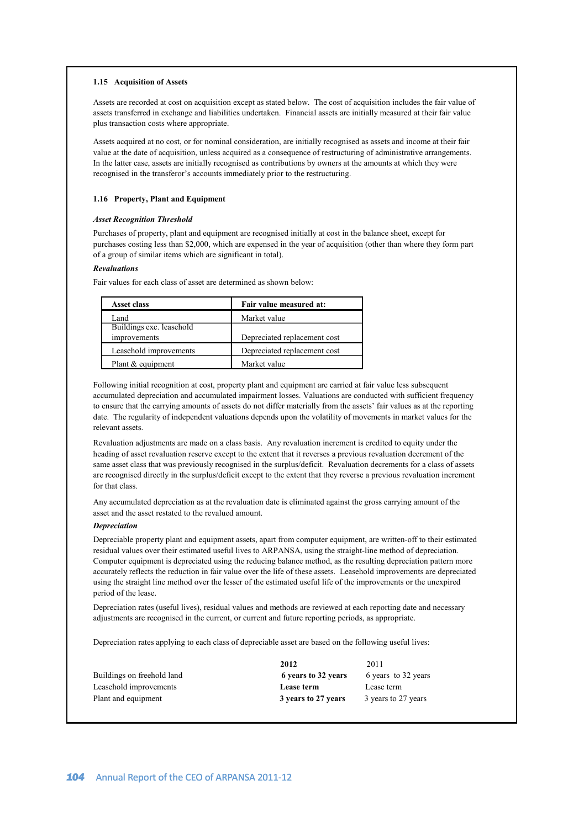### **1.15 Acquisition of Assets**

Assets are recorded at cost on acquisition except as stated below. The cost of acquisition includes the fair value of assets transferred in exchange and liabilities undertaken. Financial assets are initially measured at their fair value plus transaction costs where appropriate.

Assets acquired at no cost, or for nominal consideration, are initially recognised as assets and income at their fair value at the date of acquisition, unless acquired as a consequence of restructuring of administrative arrangements. In the latter case, assets are initially recognised as contributions by owners at the amounts at which they were recognised in the transferor's accounts immediately prior to the restructuring.

### **1.16 Property, Plant and Equipment**

### *Asset Recognition Threshold*

Purchases of property, plant and equipment are recognised initially at cost in the balance sheet, except for purchases costing less than \$2,000, which are expensed in the year of acquisition (other than where they form part of a group of similar items which are significant in total).

### *Revaluations*

Fair values for each class of asset are determined as shown below:

| <b>Asset class</b>       | Fair value measured at:      |
|--------------------------|------------------------------|
| Land                     | Market value                 |
| Buildings exc. leasehold |                              |
| improvements             | Depreciated replacement cost |
| Leasehold improvements   | Depreciated replacement cost |
| Plant & equipment        | Market value                 |

Following initial recognition at cost, property plant and equipment are carried at fair value less subsequent accumulated depreciation and accumulated impairment losses. Valuations are conducted with sufficient frequency to ensure that the carrying amounts of assets do not differ materially from the assets' fair values as at the reporting date. The regularity of independent valuations depends upon the volatility of movements in market values for the relevant assets.

Revaluation adjustments are made on a class basis. Any revaluation increment is credited to equity under the heading of asset revaluation reserve except to the extent that it reverses a previous revaluation decrement of the same asset class that was previously recognised in the surplus/deficit. Revaluation decrements for a class of assets are recognised directly in the surplus/deficit except to the extent that they reverse a previous revaluation increment for that class.

Any accumulated depreciation as at the revaluation date is eliminated against the gross carrying amount of the asset and the asset restated to the revalued amount.

### *Depreciation*

Depreciable property plant and equipment assets, apart from computer equipment, are written-off to their estimated residual values over their estimated useful lives to ARPANSA, using the straight-line method of depreciation. Computer equipment is depreciated using the reducing balance method, as the resulting depreciation pattern more accurately reflects the reduction in fair value over the life of these assets. Leasehold improvements are depreciated using the straight line method over the lesser of the estimated useful life of the improvements or the unexpired period of the lease.

Depreciation rates (useful lives), residual values and methods are reviewed at each reporting date and necessary adjustments are recognised in the current, or current and future reporting periods, as appropriate.

Depreciation rates applying to each class of depreciable asset are based on the following useful lives:

|                            | 2012                | 2011                |
|----------------------------|---------------------|---------------------|
| Buildings on freehold land | 6 years to 32 years | 6 years to 32 years |
| Leasehold improvements     | Lease term          | Lease term          |
| Plant and equipment        | 3 years to 27 years | 3 years to 27 years |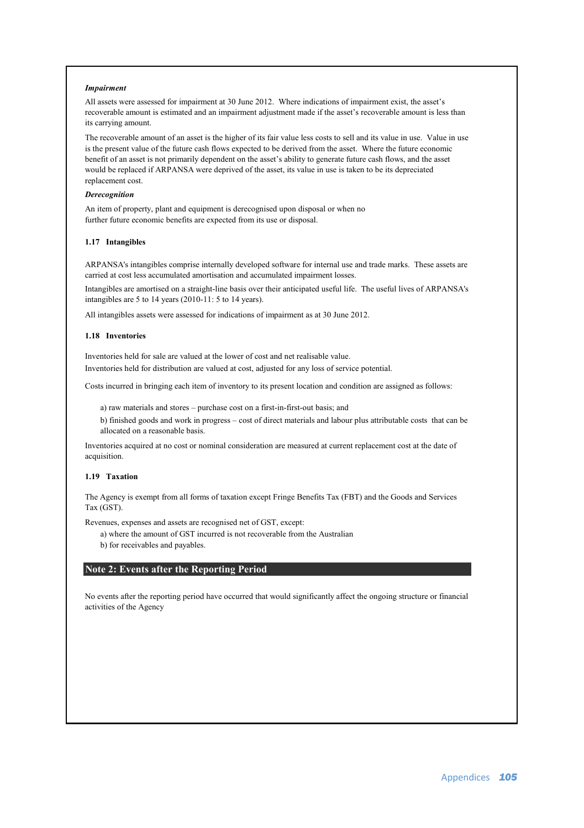### *Impairment*

All assets were assessed for impairment at 30 June 2012. Where indications of impairment exist, the asset's recoverable amount is estimated and an impairment adjustment made if the asset's recoverable amount is less than its carrying amount.

The recoverable amount of an asset is the higher of its fair value less costs to sell and its value in use. Value in use is the present value of the future cash flows expected to be derived from the asset. Where the future economic benefit of an asset is not primarily dependent on the asset's ability to generate future cash flows, and the asset would be replaced if ARPANSA were deprived of the asset, its value in use is taken to be its depreciated replacement cost.

### *Derecognition*

An item of property, plant and equipment is derecognised upon disposal or when no further future economic benefits are expected from its use or disposal.

### **1.17 Intangibles**

ARPANSA's intangibles comprise internally developed software for internal use and trade marks. These assets are carried at cost less accumulated amortisation and accumulated impairment losses.

Intangibles are amortised on a straight-line basis over their anticipated useful life. The useful lives of ARPANSA's intangibles are 5 to 14 years (2010-11: 5 to 14 years).

All intangibles assets were assessed for indications of impairment as at 30 June 2012.

### **1.18 Inventories**

Inventories held for sale are valued at the lower of cost and net realisable value. Inventories held for distribution are valued at cost, adjusted for any loss of service potential.

Costs incurred in bringing each item of inventory to its present location and condition are assigned as follows:

a) raw materials and stores – purchase cost on a first-in-first-out basis; and

b) finished goods and work in progress – cost of direct materials and labour plus attributable costs that can be allocated on a reasonable basis.

Inventories acquired at no cost or nominal consideration are measured at current replacement cost at the date of acquisition.

### **1.19 Taxation**

The Agency is exempt from all forms of taxation except Fringe Benefits Tax (FBT) and the Goods and Services Tax (GST).

Revenues, expenses and assets are recognised net of GST, except:

a) where the amount of GST incurred is not recoverable from the Australian

b) for receivables and payables.

### **Note 2: Events after the Reporting Period**

No events after the reporting period have occurred that would significantly affect the ongoing structure or financial activities of the Agency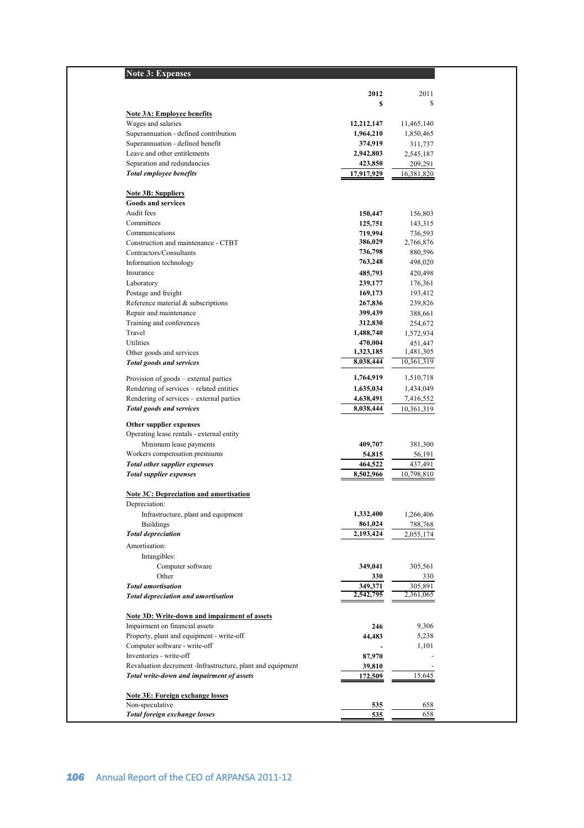| <b>Note 3: Expenses</b>                                      |                      |                      |
|--------------------------------------------------------------|----------------------|----------------------|
|                                                              | 2012                 | 2011                 |
|                                                              | S                    | \$                   |
| Note 3A: Employee benefits                                   |                      |                      |
| Wages and salaries                                           | 12,212,147           | 11,465,140           |
| Superannuation - defined contribution                        | 1,964,210            | 1,850,465            |
| Superannuation - defined benefit                             | 374,919              | 311,737              |
| Leave and other entitlements                                 | 2,942,803            | 2,545,187            |
| Separation and redundancies                                  | 423,850              | 209,291              |
| <b>Total employee benefits</b>                               | 17,917,929           | 16,381,820           |
| <b>Note 3B: Suppliers</b>                                    |                      |                      |
| <b>Goods and services</b>                                    |                      |                      |
| Audit fees                                                   | 150,447              | 156,803              |
| Committees                                                   | 125,751              | 143,315              |
| Communications                                               | 719,994              | 736,593              |
| Construction and maintenance - CTBT                          | 386,029              | 2,766,876            |
| Contractors/Consultants                                      | 736,798              | 880,596              |
| Information technology                                       | 763,248              | 498,020              |
| Insurance                                                    | 485,793              | 420,498              |
| Laboratory                                                   | 239,177              | 176,361              |
| Postage and freight                                          | 169,173              | 193,412              |
| Reference material & subscriptions<br>Repair and maintenance | 267,836              | 239,826              |
|                                                              | 399,439              | 388,661              |
| Training and conferences<br>Travel                           | 312,830<br>1,488,740 | 254,672              |
| Utilities                                                    | 470.004              | 1,572,934<br>451,447 |
| Other goods and services                                     | 1,323,185            | 1,481,305            |
| <b>Total goods and services</b>                              | 8,038,444            | 10,361,319           |
| Provision of goods – external parties                        | 1,764,919            | 1,510,718            |
| Rendering of services - related entities                     | 1,635,034            | 1,434,049            |
| Rendering of services – external parties                     | 4,638,491            | 7,416,552            |
| <b>Total goods and services</b>                              | 8,038,444            | 10,361,319           |
|                                                              |                      |                      |
| Other supplier expenses                                      |                      |                      |
| Operating lease rentals - external entity                    |                      |                      |
| Minimum lease payments                                       | 409,707              | 381,300              |
| Workers compensation premiums                                | 54,815               | 56,191               |
| <b>Total other supplier expenses</b>                         | 464,522              | 437,491              |
| <b>Total supplier expenses</b>                               | 8,502,966            | 10,798,810           |
| <b>Note 3C: Depreciation and amortisation</b>                |                      |                      |
| Depreciation:<br>Infrastructure, plant and equipment         | 1,332,400            | 1,266,406            |
| <b>Buildings</b>                                             | 861,024              | 788,768              |
| <b>Total depreciation</b>                                    | 2,193,424            | 2,055,174            |
| Amortisation:                                                |                      |                      |
| Intangibles:                                                 |                      |                      |
| Computer software                                            | 349,041              | 305,561              |
| Other                                                        | 330                  | 330                  |
| <b>Total amortisation</b>                                    | 349,371              | 305,891              |
| <b>Total depreciation and amortisation</b>                   | 2,542,795            | 2,361,065            |
|                                                              |                      |                      |
| Note 3D: Write-down and impairment of assets                 |                      |                      |
| Impairment on financial assets                               | 246                  | 9,306                |
| Property, plant and equipment - write-off                    | 44,483               | 5,238                |
| Computer software - write-off                                |                      | 1,101                |
| Inventories - write-off                                      | 87,970               |                      |
| Revaluation decrement -Infrastructure, plant and equipment   | 39,810               |                      |
| Total write-down and impairment of assets                    | 172,509              | 15,645               |
| Note 3E: Foreign exchange losses                             |                      |                      |
| Non-speculative                                              | 535                  | 658                  |
| Total foreign exchange losses                                | 535                  | 658                  |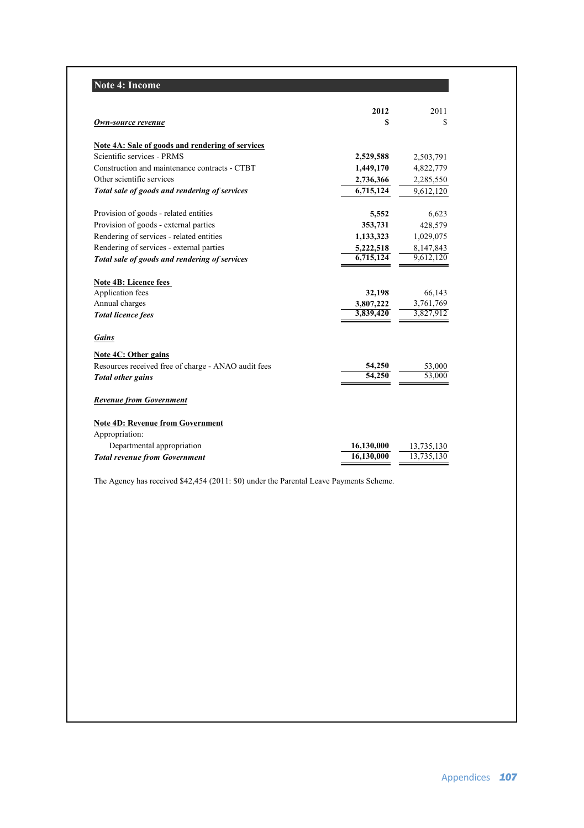|                                                         | 2012       | 2011       |
|---------------------------------------------------------|------------|------------|
| Own-source revenue                                      | S          | \$         |
| <b>Note 4A: Sale of goods and rendering of services</b> |            |            |
| Scientific services - PRMS                              | 2,529,588  | 2,503,791  |
| Construction and maintenance contracts - CTBT           | 1,449,170  | 4,822,779  |
| Other scientific services                               | 2,736,366  | 2,285,550  |
| Total sale of goods and rendering of services           | 6,715,124  | 9,612,120  |
| Provision of goods - related entities                   | 5,552      | 6,623      |
| Provision of goods - external parties                   | 353,731    | 428,579    |
| Rendering of services - related entities                | 1,133,323  | 1,029,075  |
| Rendering of services - external parties                | 5,222,518  | 8,147,843  |
| Total sale of goods and rendering of services           | 6,715,124  | 9.612.120  |
| <b>Note 4B: Licence fees</b>                            |            |            |
| Application fees                                        | 32,198     | 66,143     |
| Annual charges                                          | 3,807,222  | 3,761,769  |
| <b>Total licence fees</b>                               | 3,839,420  | 3,827,912  |
| <b>Gains</b>                                            |            |            |
| <b>Note 4C: Other gains</b>                             |            |            |
| Resources received free of charge - ANAO audit fees     | 54,250     | 53,000     |
| <b>Total other gains</b>                                | 54,250     | 53,000     |
| <b>Revenue from Government</b>                          |            |            |
| <b>Note 4D: Revenue from Government</b>                 |            |            |
| Appropriation:                                          |            |            |
| Departmental appropriation                              | 16,130,000 | 13,735,130 |
| <b>Total revenue from Government</b>                    | 16,130,000 | 13.735.130 |

The Agency has received \$42,454 (2011: \$0) under the Parental Leave Payments Scheme.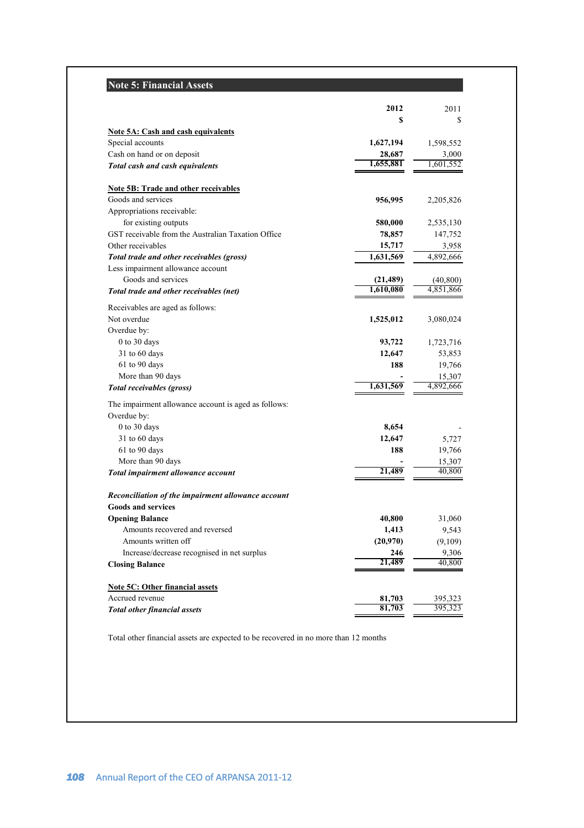# **Note 5: Financial Assets**

|                                                      | 2012          | 2011                |
|------------------------------------------------------|---------------|---------------------|
|                                                      | S             | S                   |
| <b>Note 5A: Cash and cash equivalents</b>            |               |                     |
| Special accounts                                     | 1,627,194     | 1,598,552           |
| Cash on hand or on deposit                           | 28,687        | 3,000               |
| Total cash and cash equivalents                      | 1,655,881     | 1,601,552           |
| Note 5B: Trade and other receivables                 |               |                     |
| Goods and services                                   | 956,995       | 2,205,826           |
| Appropriations receivable:                           |               |                     |
| for existing outputs                                 | 580,000       | 2,535,130           |
| GST receivable from the Australian Taxation Office   | 78,857        | 147,752             |
| Other receivables                                    | 15,717        | 3,958               |
| Total trade and other receivables (gross)            | 1,631,569     | 4,892,666           |
| Less impairment allowance account                    |               |                     |
| Goods and services                                   | (21, 489)     | (40, 800)           |
| Total trade and other receivables (net)              | 1,610,080     | 4,851,866           |
|                                                      |               |                     |
| Receivables are aged as follows:                     |               |                     |
| Not overdue                                          | 1,525,012     | 3,080,024           |
| Overdue by:                                          |               |                     |
| 0 to 30 days                                         | 93,722        | 1,723,716           |
| 31 to 60 days                                        | 12,647<br>188 | 53,853              |
| 61 to 90 days                                        |               | 19,766              |
| More than 90 days                                    | 1,631,569     | 15,307<br>4,892,666 |
| Total receivables (gross)                            |               |                     |
| The impairment allowance account is aged as follows: |               |                     |
| Overdue by:                                          |               |                     |
| 0 to 30 days                                         | 8,654         |                     |
| 31 to 60 days                                        | 12,647        | 5,727               |
| $61$ to 90 days                                      | 188           | 19,766              |
| More than 90 days                                    |               | 15,307              |
| Total impairment allowance account                   | 21,489        | 40,800              |
| Reconciliation of the impairment allowance account   |               |                     |
| <b>Goods and services</b>                            |               |                     |
| <b>Opening Balance</b>                               | 40,800        | 31,060              |
| Amounts recovered and reversed                       | 1,413         | 9,543               |
| Amounts written off                                  | (20,970)      | (9,109)             |
| Increase/decrease recognised in net surplus          | 246           | 9,306               |
| <b>Closing Balance</b>                               | 21,489        | 40,800              |
|                                                      |               |                     |
| <b>Note 5C: Other financial assets</b>               |               |                     |
| Accrued revenue                                      | 81,703        | 395,323             |
| <b>Total other financial assets</b>                  | 81,703        | 395,323             |

Total other financial assets are expected to be recovered in no more than 12 months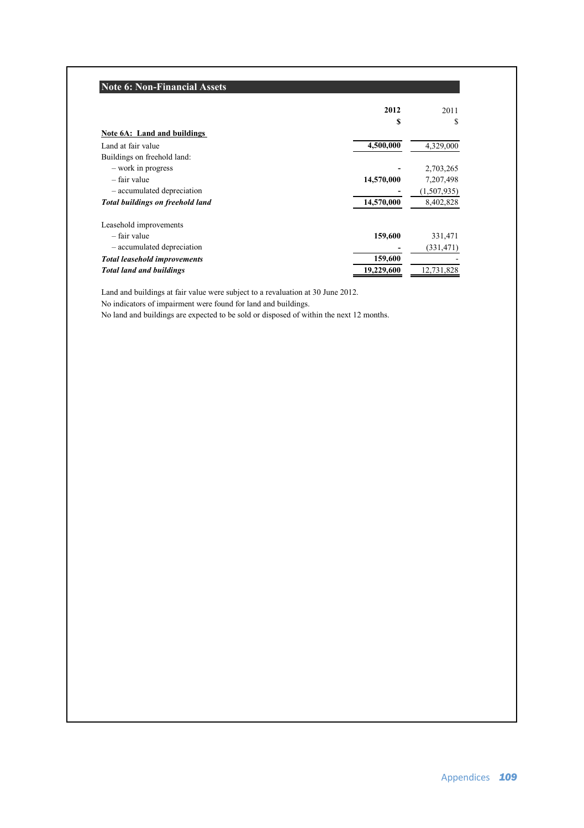|                                         | 2012       | 2011        |
|-----------------------------------------|------------|-------------|
|                                         | S          | S           |
| Note 6A: Land and buildings             |            |             |
| Land at fair value                      | 4,500,000  | 4,329,000   |
| Buildings on freehold land:             |            |             |
| - work in progress                      |            | 2,703,265   |
| - fair value                            | 14,570,000 | 7,207,498   |
| - accumulated depreciation              |            | (1,507,935) |
| <b>Total buildings on freehold land</b> | 14,570,000 | 8,402,828   |
| Leasehold improvements                  |            |             |
| – fair value                            | 159,600    | 331,471     |
| - accumulated depreciation              |            | (331, 471)  |
| <b>Total leasehold improvements</b>     | 159,600    |             |
| <b>Total land and buildings</b>         | 19,229,600 | 12,731,828  |

Land and buildings at fair value were subject to a revaluation at 30 June 2012.

No indicators of impairment were found for land and buildings.

No land and buildings are expected to be sold or disposed of within the next 12 months.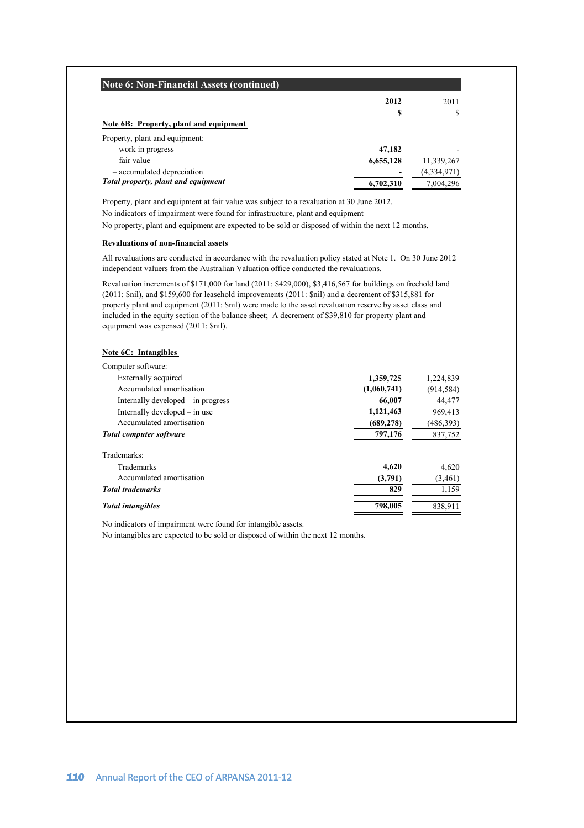| <b>Note 6: Non-Financial Assets (continued)</b> |           |             |
|-------------------------------------------------|-----------|-------------|
|                                                 | 2012      | 2011        |
|                                                 | S         | S           |
| Note 6B: Property, plant and equipment          |           |             |
| Property, plant and equipment:                  |           |             |
| - work in progress                              | 47,182    | -           |
| – fair value                                    | 6,655,128 | 11,339,267  |
| - accumulated depreciation                      |           | (4,334,971) |
| Total property, plant and equipment             | 6,702,310 | 7,004,296   |

Property, plant and equipment at fair value was subject to a revaluation at 30 June 2012.

No indicators of impairment were found for infrastructure, plant and equipment

No property, plant and equipment are expected to be sold or disposed of within the next 12 months.

### **Revaluations of non-financial assets**

All revaluations are conducted in accordance with the revaluation policy stated at Note 1. On 30 June 2012 independent valuers from the Australian Valuation office conducted the revaluations.

Revaluation increments of \$171,000 for land (2011: \$429,000), \$3,416,567 for buildings on freehold land (2011: \$nil), and \$159,600 for leasehold improvements (2011: \$nil) and a decrement of \$315,881 for property plant and equipment (2011: \$nil) were made to the asset revaluation reserve by asset class and included in the equity section of the balance sheet; A decrement of \$39,810 for property plant and equipment was expensed (2011: \$nil).

### **Note 6C: Intangibles**

| Computer software:                 |             |            |
|------------------------------------|-------------|------------|
| Externally acquired                | 1,359,725   | 1,224,839  |
| Accumulated amortisation           | (1,060,741) | (914, 584) |
| Internally developed – in progress | 66,007      | 44.477     |
| Internally developed – in use      | 1,121,463   | 969,413    |
| Accumulated amortisation           | (689, 278)  | (486, 393) |
| <b>Total computer software</b>     | 797,176     | 837,752    |
| Trademarks:                        |             |            |
| <b>Trademarks</b>                  | 4.620       | 4,620      |
| Accumulated amortisation           | (3,791)     | (3,461)    |
| <b>Total trademarks</b>            | 829         | 1,159      |
| <b>Total intangibles</b>           | 798,005     | 838.911    |

No indicators of impairment were found for intangible assets.

No intangibles are expected to be sold or disposed of within the next 12 months.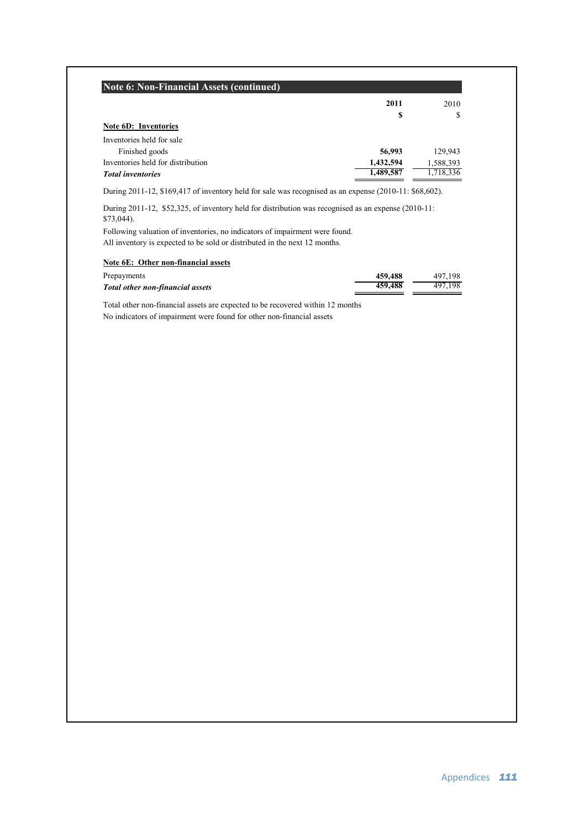|                                                                                                                                                                                                                                                                                                                                                                                                                             | 2011      | 2010      |
|-----------------------------------------------------------------------------------------------------------------------------------------------------------------------------------------------------------------------------------------------------------------------------------------------------------------------------------------------------------------------------------------------------------------------------|-----------|-----------|
|                                                                                                                                                                                                                                                                                                                                                                                                                             | S         | S         |
| Note 6D: Inventories                                                                                                                                                                                                                                                                                                                                                                                                        |           |           |
| Inventories held for sale                                                                                                                                                                                                                                                                                                                                                                                                   |           |           |
| Finished goods                                                                                                                                                                                                                                                                                                                                                                                                              | 56,993    | 129,943   |
| Inventories held for distribution                                                                                                                                                                                                                                                                                                                                                                                           | 1,432,594 | 1,588,393 |
|                                                                                                                                                                                                                                                                                                                                                                                                                             |           |           |
|                                                                                                                                                                                                                                                                                                                                                                                                                             | 1,489,587 |           |
| <b>Total inventories</b><br>During $2011-12$ , \$169,417 of inventory held for sale was recognised as an expense $(2010-11: $68,602)$ .<br>During 2011-12, \$52,325, of inventory held for distribution was recognised as an expense (2010-11:<br>$$73,044$ ).<br>Following valuation of inventories, no indicators of impairment were found.<br>All inventory is expected to be sold or distributed in the next 12 months. |           | 1,718,336 |
| Note 6E: Other non-financial assets                                                                                                                                                                                                                                                                                                                                                                                         |           |           |
| Prepayments                                                                                                                                                                                                                                                                                                                                                                                                                 | 459,488   | 497,198   |

No indicators of impairment were found for other non-financial assets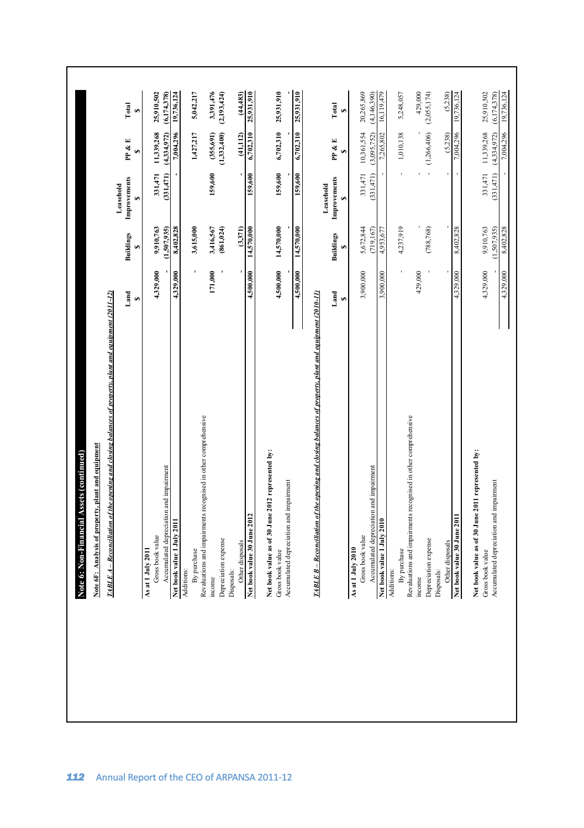| Note 6: Non-Financial Assets (continued)<br>Note 6F: Analysis of property, plant and equipment<br>TABLE A – Reconciliation of the opening and closing balances of property, plant and equipment (2011-12)                           |           |                         |                                |                             |                             |
|-------------------------------------------------------------------------------------------------------------------------------------------------------------------------------------------------------------------------------------|-----------|-------------------------|--------------------------------|-----------------------------|-----------------------------|
|                                                                                                                                                                                                                                     |           |                         |                                |                             |                             |
|                                                                                                                                                                                                                                     |           | <b>Buildings</b>        | Improvements<br>Leasehold<br>s | PP & E<br>GA                | Total<br>Ø                  |
|                                                                                                                                                                                                                                     | 4,329,000 | 9.910,763               | 331.471                        | 11,339,268                  | 25,910,502                  |
|                                                                                                                                                                                                                                     |           | (1.507.935)             | (331.471)                      | (4.334.972)                 | (6,174,378)                 |
|                                                                                                                                                                                                                                     | 4,329,000 | 8,402,828               |                                | 7,004,296                   | 19,736,124                  |
|                                                                                                                                                                                                                                     |           |                         |                                |                             |                             |
|                                                                                                                                                                                                                                     |           | 3,615,000               |                                | 1,427,217                   | 5,042,217                   |
|                                                                                                                                                                                                                                     |           |                         |                                |                             |                             |
|                                                                                                                                                                                                                                     | 171,000   | 3,416,567               | 159,600                        | (355, 691)                  | 3,391,476                   |
|                                                                                                                                                                                                                                     |           | (861, 024)              |                                | (1,332,400)                 | (2,193,424)                 |
|                                                                                                                                                                                                                                     |           |                         |                                |                             |                             |
|                                                                                                                                                                                                                                     |           | (3,371)                 |                                | (41, 112)                   | (44, 483)                   |
|                                                                                                                                                                                                                                     | 4,500.000 | 14,570,000              | 159,600                        | 6,702,310                   | 25,931,910                  |
| A and 1 also 20 that<br>A a club of the second stress in the competence of the competence of the second stress of<br>A additional stress and implements recognised in education of the competence of<br>A difference and input meas | 4,500,000 | 14,570,000              | 159,600                        | 6,702,310                   | 25,931,910                  |
|                                                                                                                                                                                                                                     |           |                         |                                |                             |                             |
|                                                                                                                                                                                                                                     | 4,500,000 | 14,570,000              | 159,600                        | 6,702,310                   | 25,931,910                  |
|                                                                                                                                                                                                                                     |           |                         | Leasehold                      |                             |                             |
|                                                                                                                                                                                                                                     |           | <b>Buildings</b><br>G,  | Improvements<br>G.             | PP & E<br>G.                | Total<br>G,                 |
|                                                                                                                                                                                                                                     |           |                         |                                |                             |                             |
|                                                                                                                                                                                                                                     | 3,900,000 | 5,672,844<br>(719, 167) | (331, 471)<br>331,471          | 10,361,554<br>(3,095,752)   | 20,265,869<br>(4, 146, 390) |
|                                                                                                                                                                                                                                     | 3,900,000 | 4,953,677               |                                | 7,265,802                   | 16,119,479                  |
|                                                                                                                                                                                                                                     |           |                         |                                |                             |                             |
|                                                                                                                                                                                                                                     |           | 4,237,919               |                                | 1,010,138                   | 5,248,057                   |
|                                                                                                                                                                                                                                     | 429,000   |                         |                                |                             | 429,000                     |
|                                                                                                                                                                                                                                     |           | (788, 768)              |                                | $-$ (1,266,406) (2,055,174) |                             |
|                                                                                                                                                                                                                                     |           |                         |                                |                             |                             |
|                                                                                                                                                                                                                                     |           |                         |                                | (5,238)                     | (5,238)                     |
|                                                                                                                                                                                                                                     | 4,329,000 | 8,402,828               |                                | 7,004,296                   | 19,736,124                  |
|                                                                                                                                                                                                                                     | 4,329,000 | 9,910,763               | 331,471                        | 11,339,268                  | 25,910,502                  |
|                                                                                                                                                                                                                                     |           | (1,507,935)             | (331, 471)                     | (4,334,972)                 | (6, 174, 378)               |
|                                                                                                                                                                                                                                     | 4,329,000 | 8,402,828               |                                | 7,004,296                   | 19,736,124                  |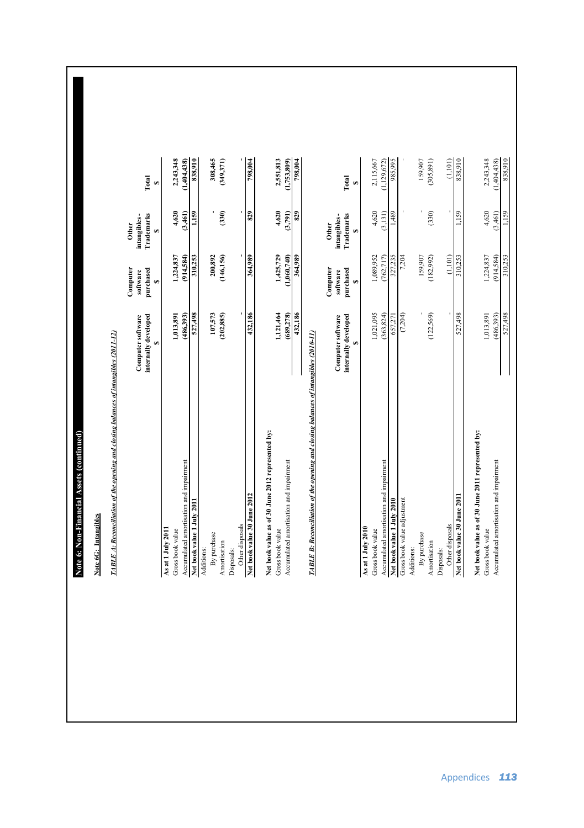Note 6: Non-Financial Assets (continued) **Note 6: Non-Financial Assets (continued)** Note 6G: Intangible

| Note 6G: Intangibles                                                                 |                                                 |                                         |                                                  |               |
|--------------------------------------------------------------------------------------|-------------------------------------------------|-----------------------------------------|--------------------------------------------------|---------------|
| TABLE A: Reconciliation of the opening and closing balances of intangibles (2011-12) |                                                 |                                         |                                                  |               |
|                                                                                      | internally developed<br>Computer software<br>s, | Computer<br>purchased<br>software<br>s, | Trademarks<br>intangibles-<br><b>Other</b><br>G, | Total<br>GA,  |
| As at 1 July 2011                                                                    |                                                 |                                         |                                                  |               |
| Gross book value                                                                     | 1,013,891                                       | 1,224,837                               | 4,620                                            | 2,243,348     |
| Accumulated amortisation and impairment                                              | (486,393)                                       | (914, 584)                              | (3,461)                                          | 1,404,438)    |
| Net book value 1 July 2011                                                           | 867,738                                         | 310,253                                 | 1,159                                            | 838,910       |
| Additions:                                                                           |                                                 |                                         |                                                  |               |
| By purchase                                                                          | 107,573                                         | 200,892                                 |                                                  | 308,465       |
| Amortisation                                                                         | (202, 885)                                      | (146, 156)                              | (330)                                            | (349,371)     |
| Disposals:                                                                           |                                                 |                                         |                                                  |               |
| Other disposals                                                                      |                                                 | ı                                       | ı                                                |               |
| Net book value 30 June 2012                                                          | 432,186                                         | 364,989                                 | 829                                              | 798,004       |
| Net book value as of 30 June 2012 represented by:<br>Gross book value                | 1,121,464                                       | 1,425,729                               | 4,620                                            | 2,551,813     |
| Accumulated amortisation and impairment                                              | (689, 278)                                      | (1,060,740)                             | (3,791)                                          | (1,753,809)   |
|                                                                                      | 432,186                                         | 364,989                                 | 829                                              | 798,004       |
| TABLE B: Reconciliation of the opening and closing balances of intangibles (2010-11) |                                                 |                                         |                                                  |               |
|                                                                                      | internally developed<br>Computer software       | Computer<br>purchased<br>software       | Trademarks<br>intangibles-<br><b>Other</b>       | Total         |
| As at 1 July 2010                                                                    | s,                                              | s,                                      | $\bullet$                                        | Ģ,            |
| Gross book value                                                                     | 1,021,095                                       | 1,089,952                               | 4,620                                            | 2,115,667     |
| Accumulated amortisation and impairment                                              | (363,824)                                       | (762, 717)                              | (3,131)                                          | (1, 129, 672) |
| Net book value 1 July 2010                                                           | 657,271                                         | 327,235                                 | 1,489                                            | 985,995       |
| Gross book value adjustment                                                          | (7,204)                                         | 7,204                                   |                                                  |               |
| Additions:                                                                           |                                                 |                                         |                                                  |               |
| By purchase                                                                          |                                                 | 159,907                                 |                                                  | 159,907       |
| Amortisation                                                                         | (122, 569)                                      | (182, 992)                              | (330)                                            | (305, 891)    |
| Disposals:                                                                           |                                                 |                                         |                                                  |               |
| Other disposals                                                                      | ł                                               | (1, 101)                                | í                                                | (1,101)       |

 $\Gamma(\mathrm{D}\mathrm{T}^+_{\mathrm{D}})$  -  $\Gamma(\mathrm{D}\mathrm{T}^+_{\mathrm{D}})$  -  $\Gamma(\mathrm{D}\mathrm{T}^+_{\mathrm{D}})$  -  $\Gamma(\mathrm{D}\mathrm{T}^+_{\mathrm{D}})$  -  $\Gamma(\mathrm{D}\mathrm{T}^+_{\mathrm{D}})$  -  $\Gamma(\mathrm{D}\mathrm{T}^+_{\mathrm{D}})$  -  $\Gamma(\mathrm{D}\mathrm{T}^+_{\mathrm{D}})$  -  $\Gamma(\mathrm{D}\mathrm{T}^+_{\mathrm{D}})$  -  $\Gamma(\mathrm{D}\mathrm{T}^+_{\mathrm{D}})$  -  $\Gamma(\mathrm$ **Net book value 30 June 2011 1,159 1,159 1,159 838,910 300,000 1,159 1,159 10,253** 

Î, 527,498

**Net book value as of 30 June 2011 represented by:**

Net book value as of 30 June 2011 represented by:<br>Gross book value<br>Accumulated amortisation and impairment

Gross book value 2,243,348  $\frac{1}{243,348}$ Accumulated anonstisation and impairment (3,4,58,4,96,993) (9,4,584,4,584,4,584,4,584,4,584,4,584,438) (1,404,438) (1,404,438) (1,404,438) (1,404,438) (1,404,438) (1,404,438) (1,404,438) (1,404,438) (1,404,438) (1,404,438)

527,498 310,253 1,159 838,910

6511

 $2,243,348$ <br>(1,404,438)<br>838,910

 $4,620$ <br>(3,461)

 $\begin{array}{c} 1,224,837 \\ (914,584) \\ \hline 310,253 \end{array}$ 

 $\begin{array}{c} 1,013,891 \\ (486,393) \\ 527,498 \end{array}$ 

838,910

j. ,159

310,253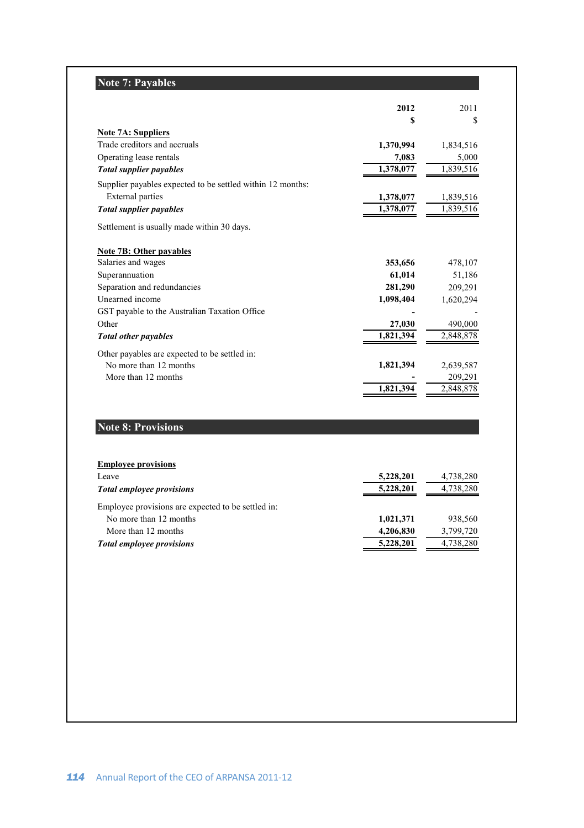# **Note 7: Payables**

|                                                            | 2012      | 2011      |
|------------------------------------------------------------|-----------|-----------|
|                                                            | S         | S         |
| <b>Note 7A: Suppliers</b>                                  |           |           |
| Trade creditors and accruals                               | 1,370,994 | 1,834,516 |
| Operating lease rentals                                    | 7,083     | 5,000     |
| <b>Total supplier payables</b>                             | 1,378,077 | 1,839,516 |
| Supplier payables expected to be settled within 12 months: |           |           |
| <b>External parties</b>                                    | 1,378,077 | 1,839,516 |
| <b>Total supplier payables</b>                             | 1,378,077 | 1,839,516 |
| Settlement is usually made within 30 days.                 |           |           |
| Note 7B: Other payables                                    |           |           |
| Salaries and wages                                         | 353,656   | 478,107   |
| Superannuation                                             | 61,014    | 51,186    |
| Separation and redundancies                                | 281,290   | 209,291   |
| Unearned income                                            | 1,098,404 | 1,620,294 |
| GST payable to the Australian Taxation Office              |           |           |
| Other                                                      | 27,030    | 490,000   |
| <b>Total other payables</b>                                | 1,821,394 | 2,848,878 |
| Other payables are expected to be settled in:              |           |           |
| No more than 12 months                                     | 1,821,394 | 2,639,587 |
| More than 12 months                                        |           | 209,291   |
|                                                            | 1,821,394 | 2,848,878 |

# **Note 8: Provisions**

| <b>Employee provisions</b>                         |           |           |
|----------------------------------------------------|-----------|-----------|
| Leave                                              | 5,228,201 | 4,738,280 |
| <b>Total employee provisions</b>                   | 5,228,201 | 4,738,280 |
| Employee provisions are expected to be settled in: |           |           |
| No more than 12 months                             | 1,021,371 | 938,560   |
| More than 12 months                                | 4,206,830 | 3,799,720 |
| <b>Total employee provisions</b>                   | 5,228,201 | 4,738,280 |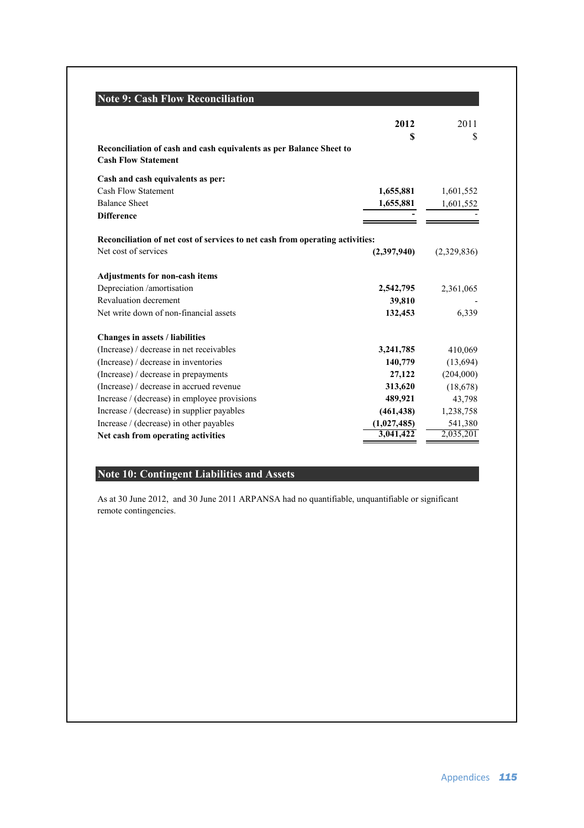| <b>Note 9: Cash Flow Reconciliation</b>                                                           |             |             |
|---------------------------------------------------------------------------------------------------|-------------|-------------|
|                                                                                                   | 2012        | 2011        |
|                                                                                                   | S           | \$          |
| Reconciliation of cash and cash equivalents as per Balance Sheet to<br><b>Cash Flow Statement</b> |             |             |
| Cash and cash equivalents as per:                                                                 |             |             |
| Cash Flow Statement                                                                               | 1,655,881   | 1,601,552   |
| <b>Balance Sheet</b>                                                                              | 1,655,881   | 1,601,552   |
| <b>Difference</b>                                                                                 |             |             |
| Reconciliation of net cost of services to net cash from operating activities:                     |             |             |
| Net cost of services                                                                              | (2,397,940) | (2,329,836) |
| <b>Adjustments for non-cash items</b>                                                             |             |             |
| Depreciation /amortisation                                                                        | 2,542,795   | 2,361,065   |
| Revaluation decrement                                                                             | 39,810      |             |
| Net write down of non-financial assets                                                            | 132,453     | 6,339       |
| <b>Changes in assets / liabilities</b>                                                            |             |             |
| (Increase) / decrease in net receivables                                                          | 3,241,785   | 410,069     |
| (Increase) / decrease in inventories                                                              | 140,779     | (13,694)    |
| (Increase) / decrease in prepayments                                                              | 27,122      | (204,000)   |
| (Increase) / decrease in accrued revenue                                                          | 313,620     | (18,678)    |
| Increase / (decrease) in employee provisions                                                      | 489,921     | 43,798      |
| Increase / (decrease) in supplier payables                                                        | (461, 438)  | 1,238,758   |
| Increase / (decrease) in other payables                                                           | (1,027,485) | 541,380     |
| Net cash from operating activities                                                                | 3,041,422   | 2,035,201   |

# **Note 10: Contingent Liabilities and Assets**

As at 30 June 2012, and 30 June 2011 ARPANSA had no quantifiable, unquantifiable or significant remote contingencies.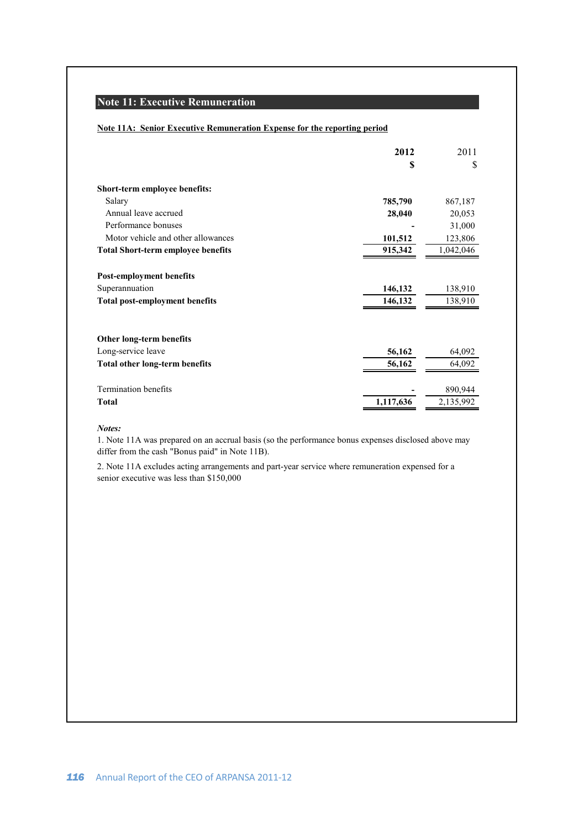# **Note 11: Executive Remuneration**

### **Note 11A: Senior Executive Remuneration Expense for the reporting period**

|                                           | 2012      | 2011      |
|-------------------------------------------|-----------|-----------|
|                                           | S         | \$        |
| Short-term employee benefits:             |           |           |
| Salary                                    | 785,790   | 867,187   |
| Annual leave accrued                      | 28,040    | 20,053    |
| Performance bonuses                       |           | 31,000    |
| Motor vehicle and other allowances        | 101,512   | 123,806   |
| <b>Total Short-term employee benefits</b> | 915,342   | 1,042,046 |
| <b>Post-employment benefits</b>           |           |           |
| Superannuation                            | 146,132   | 138,910   |
| <b>Total post-employment benefits</b>     | 146,132   | 138,910   |
|                                           |           |           |
| Other long-term benefits                  |           |           |
| Long-service leave                        | 56,162    | 64,092    |
| <b>Total other long-term benefits</b>     | 56,162    | 64,092    |
| <b>Termination benefits</b>               |           | 890,944   |
| Total                                     | 1,117,636 | 2,135,992 |

### *Notes:*

1. Note 11A was prepared on an accrual basis (so the performance bonus expenses disclosed above may differ from the cash "Bonus paid" in Note 11B).

2. Note 11A excludes acting arrangements and part-year service where remuneration expensed for a senior executive was less than \$150,000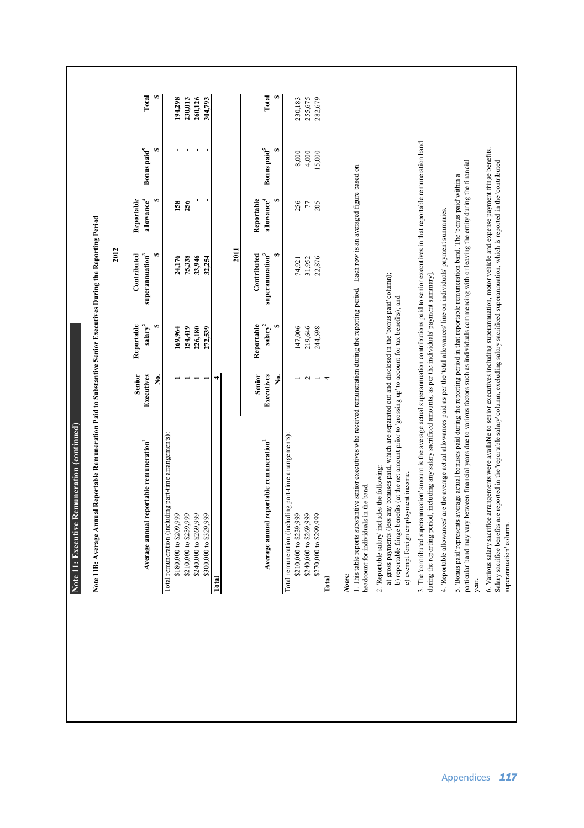| Note 11: Executive Remuneration (continued)                                                                                                                                                                                                                                                                                                        |                  |                |                                   |                             |                              |            |
|----------------------------------------------------------------------------------------------------------------------------------------------------------------------------------------------------------------------------------------------------------------------------------------------------------------------------------------------------|------------------|----------------|-----------------------------------|-----------------------------|------------------------------|------------|
| Note 11B: Average Annual Reportable Remuneration Paid to Substantive Senior Executives During the Reporting Period                                                                                                                                                                                                                                 |                  |                |                                   |                             |                              |            |
|                                                                                                                                                                                                                                                                                                                                                    |                  |                | 2012                              |                             |                              |            |
|                                                                                                                                                                                                                                                                                                                                                    | Senior           | Reportable     | Contributed                       | Reportable                  |                              |            |
| Average annual reportable remuneration                                                                                                                                                                                                                                                                                                             | Executives       | $s$ alar $y^2$ | superannuation <sup>3</sup>       | allowance <sup>4</sup>      | Bonus paid <sup>5</sup>      | Total      |
|                                                                                                                                                                                                                                                                                                                                                    | ż.               |                | G,                                | GA                          | G,                           | G,         |
| Total remuneration (including part-time arrangements):                                                                                                                                                                                                                                                                                             |                  |                |                                   |                             |                              |            |
| \$180,000 to \$209,999                                                                                                                                                                                                                                                                                                                             |                  | 169,964        | 24,176                            | 158                         |                              | 194,298    |
| \$210,000 to \$239,999                                                                                                                                                                                                                                                                                                                             |                  | 154,419        | 75,338                            | 256                         |                              | 230,013    |
| \$240,000 to \$269,999                                                                                                                                                                                                                                                                                                                             |                  | 226,180        | 33,946                            |                             |                              | 260,126    |
| \$300,000 to \$329,999                                                                                                                                                                                                                                                                                                                             |                  | 272,539        | 32,254                            |                             |                              | 304,793    |
| Total                                                                                                                                                                                                                                                                                                                                              |                  |                |                                   |                             |                              |            |
|                                                                                                                                                                                                                                                                                                                                                    |                  |                | 2011                              |                             |                              |            |
|                                                                                                                                                                                                                                                                                                                                                    | Senior           | Reportable     | Contributed                       | Reportable                  |                              |            |
| Average annual reportable remuneration                                                                                                                                                                                                                                                                                                             | Executives<br>ż. | $salary^2$     | superannuation <sup>3</sup><br>Θ. | S<br>allowance <sup>4</sup> | S<br>Bonus paid <sup>5</sup> | Total<br>S |
| Total remuneration (including part-time arrangements):                                                                                                                                                                                                                                                                                             |                  |                |                                   |                             |                              |            |
| \$210,000 to \$239,999                                                                                                                                                                                                                                                                                                                             |                  | 147,006        | 74,921                            | 256                         | 8,000                        | 230,183    |
| \$240,000 to \$269,999                                                                                                                                                                                                                                                                                                                             | $\mathbf{\sim}$  | 219,646        | 31,952                            | $77\,$                      | 4,000                        | 255,675    |
| \$270,000 to \$299,999                                                                                                                                                                                                                                                                                                                             |                  | 244,598        | 22,876                            | 205                         | 15,000                       | 282,679    |
| Total                                                                                                                                                                                                                                                                                                                                              | 4                |                |                                   |                             |                              |            |
| 1. This table reports substantive senior executives who received remuneration during the reporting period. Each row is an averaged figure based on<br>headcount for individuals in the band.<br>Notes:                                                                                                                                             |                  |                |                                   |                             |                              |            |
| a) gross payments (less any bonuses paid, which are separated out and disclosed in the bonus paid column);<br>b) reportable fringe benefits (at the net amount prior to 'grossing up' to account for tax benefits); and<br>2. Reportable salary includes the following:<br>c) exempt foreign employment income.                                    |                  |                |                                   |                             |                              |            |
| 3. The 'contributed superannuation' amount is the average actual superannuation contributions paid to senior executives in that reportable remuneration band<br>during the reporting period, including any salary sacrificed amounts, as per the individuals' payment summary]                                                                     |                  |                |                                   |                             |                              |            |
| 4. Reportable allowances' are the average actual allowances paid as per the 'total allowances' line on individuals' payment summaries.                                                                                                                                                                                                             |                  |                |                                   |                             |                              |            |
| particular band may vary between financial years due to various factors such as individuals commencing with or leaving the entity during the financial<br>5. Bonus paid represents average actual bonuses paid during the reporting period in that reportable remuneration band. The bonus paid within a<br>year.                                  |                  |                |                                   |                             |                              |            |
| 6. Various salary sacrifice arrangements were available to senior executives including superannuation, motor vehicle and expense payment fringe benefits.<br>Salary sacrifice benefits are reported in the 'reportable salary' column, excluding salary sacrificed superamuation, which is reported in the 'contributed<br>superannuation' column. |                  |                |                                   |                             |                              |            |
|                                                                                                                                                                                                                                                                                                                                                    |                  |                |                                   |                             |                              |            |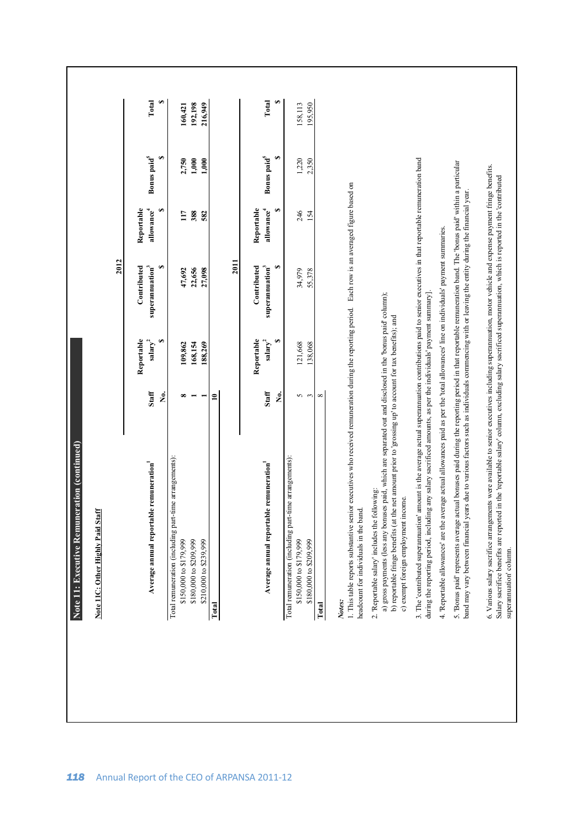| Note 11             | : Executive Remuneration (continued)                                                                                                                                                                                                                                                                                    |              |                                   |                                            |                                      |                         |         |
|---------------------|-------------------------------------------------------------------------------------------------------------------------------------------------------------------------------------------------------------------------------------------------------------------------------------------------------------------------|--------------|-----------------------------------|--------------------------------------------|--------------------------------------|-------------------------|---------|
|                     | Note 11C: Other Highly Paid Staff                                                                                                                                                                                                                                                                                       |              |                                   |                                            |                                      |                         |         |
|                     |                                                                                                                                                                                                                                                                                                                         |              |                                   | 2012                                       |                                      |                         |         |
|                     | Average annual reportable remuneration                                                                                                                                                                                                                                                                                  | Staff        | Reportable<br>salary <sup>2</sup> | Contributed<br>superannuation <sup>3</sup> | Reportable<br>allowance <sup>4</sup> | Bonus paid <sup>5</sup> | Total   |
|                     |                                                                                                                                                                                                                                                                                                                         | Ż.           | GA                                | GA                                         | GA                                   | G,                      |         |
|                     | Total remuneration (including part-time arrangements):                                                                                                                                                                                                                                                                  |              |                                   |                                            |                                      |                         |         |
|                     | \$150,000 to \$179,999                                                                                                                                                                                                                                                                                                  | $\infty$     | 109,862                           | 47,692                                     | 117                                  | 2,750                   | 160,421 |
|                     | \$180,000 to \$209,999                                                                                                                                                                                                                                                                                                  |              | 168,154                           | 22,656                                     | 388                                  | 1,000                   | 192,198 |
|                     | \$210,000 to \$239,999                                                                                                                                                                                                                                                                                                  |              | 188,269                           | 27,098                                     | 582                                  | 1.000                   | 216,949 |
| Total               |                                                                                                                                                                                                                                                                                                                         | $\mathbf{r}$ |                                   |                                            |                                      |                         |         |
|                     |                                                                                                                                                                                                                                                                                                                         |              |                                   | 2011                                       |                                      |                         |         |
|                     |                                                                                                                                                                                                                                                                                                                         |              | Reportable                        | Contributed                                | Reportable                           |                         |         |
|                     | Average annual reportable remuneration                                                                                                                                                                                                                                                                                  | Staff        | $s$ alary $^2$                    | superannuation <sup>3</sup>                | allowance $\phantom{i}^4$            | Bonus paid <sup>5</sup> | Total   |
|                     |                                                                                                                                                                                                                                                                                                                         | ż.           |                                   | GĄ                                         | G)                                   | GĄ                      |         |
|                     | Total remuneration (including part-time arrangements):                                                                                                                                                                                                                                                                  |              |                                   |                                            |                                      |                         |         |
|                     | \$150,000 to \$179,999                                                                                                                                                                                                                                                                                                  |              | 121,668                           | 34,979                                     | 246                                  | 1,220                   | 158,113 |
|                     | \$180,000 to \$209,999                                                                                                                                                                                                                                                                                                  | ς,           | 138,068                           | 55,378                                     | 154                                  | 2,350                   | 195,950 |
| Total               |                                                                                                                                                                                                                                                                                                                         | $\infty$     |                                   |                                            |                                      |                         |         |
| headcount<br>Notes: | . This table reports substantive senior executives who received remuneration during the reporting period. Each row is an averaged figure based on<br>for individuals in the band.                                                                                                                                       |              |                                   |                                            |                                      |                         |         |
|                     | a) gross payments (less any bonuses paid, which are separated out and disclosed in the 'bonus paid' column);<br>b) reportable fringe benefits (at the net amount prior to 'grossing up' to account for tax benefits); and<br>2. Reportable salary' includes the following:<br>c) exempt foreign employment income.      |              |                                   |                                            |                                      |                         |         |
|                     | 3. The 'contributed superannuation' amount is the average actual superannuation contributions paid to senior executives in that reportable remuneration band<br>during the reporting period, including any salary sacrificed amounts, as per the individuals' payment summary].                                         |              |                                   |                                            |                                      |                         |         |
|                     | 4. Reportable allowances' are the average actual allowances paid as per the 'total allowances' line on individuals' payment summaries.                                                                                                                                                                                  |              |                                   |                                            |                                      |                         |         |
| band may            | 5. Bonus paid' represents average actual bonuses paid during the reporting period in that reportable remuneration band. The 'bonus paid' within a particular<br>vary between financial years due to various factors such as individuals commencing with or leaving the entity during the financial year.                |              |                                   |                                            |                                      |                         |         |
|                     | 6. Various salary sacrifice arrangements were available to senior executives including superamuation, motor vehicle and expense payment fringe benefits.<br>Salary sacrifice benefits are reported in the 'reportable salary' column, excluding salary sacrificed superannuation, which is reported in the 'contributed |              |                                   |                                            |                                      |                         |         |
|                     | superannuation' column.                                                                                                                                                                                                                                                                                                 |              |                                   |                                            |                                      |                         |         |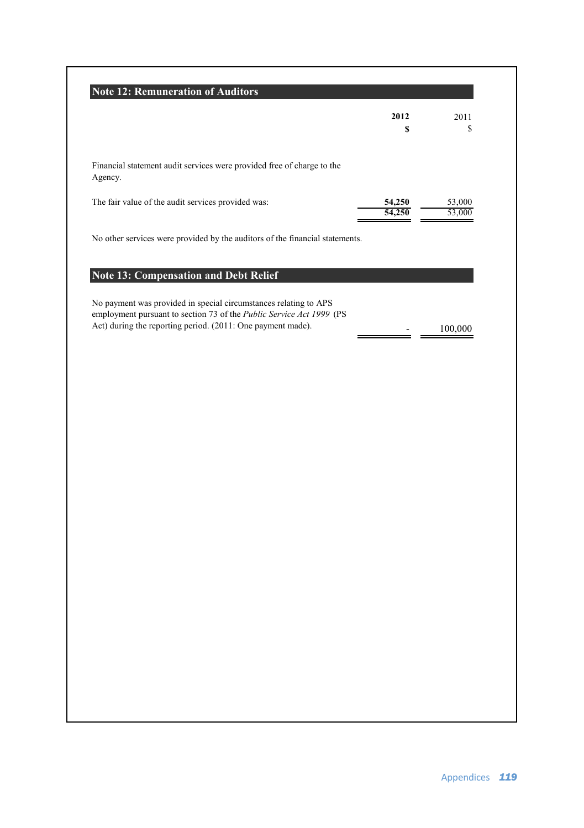|                                                                                                                                          | 2012   | 2011             |
|------------------------------------------------------------------------------------------------------------------------------------------|--------|------------------|
|                                                                                                                                          | S      | \$               |
| Financial statement audit services were provided free of charge to the<br>Agency.                                                        |        |                  |
| The fair value of the audit services provided was:                                                                                       | 54,250 | 53,000<br>53.000 |
| No other services were provided by the auditors of the financial statements.                                                             |        |                  |
| <b>Note 13: Compensation and Debt Relief</b>                                                                                             |        |                  |
| No payment was provided in special circumstances relating to APS<br>employment pursuant to section 73 of the Public Service Act 1999 (PS |        |                  |
| Act) during the reporting period. (2011: One payment made).                                                                              |        | 100.000          |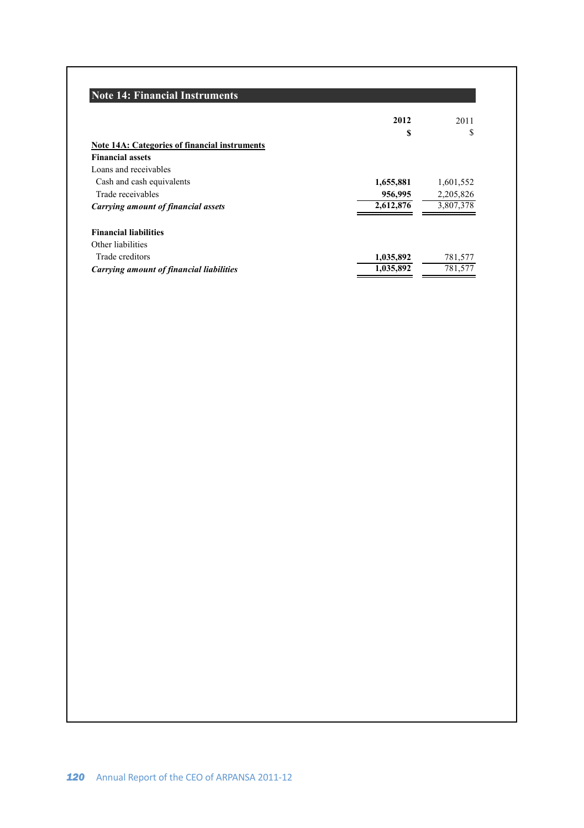# **Note 14: Financial Instruments**

|                                                 | 2012      | 2011      |
|-------------------------------------------------|-----------|-----------|
|                                                 | \$        | S         |
| Note 14A: Categories of financial instruments   |           |           |
| <b>Financial assets</b>                         |           |           |
| Loans and receivables                           |           |           |
| Cash and cash equivalents                       | 1,655,881 | 1,601,552 |
| Trade receivables                               | 956,995   | 2,205,826 |
| Carrying amount of financial assets             | 2.612.876 | 3,807,378 |
| <b>Financial liabilities</b>                    |           |           |
| Other liabilities                               |           |           |
| Trade creditors                                 | 1,035,892 | 781,577   |
| <b>Carrying amount of financial liabilities</b> | 1.035.892 | 781,577   |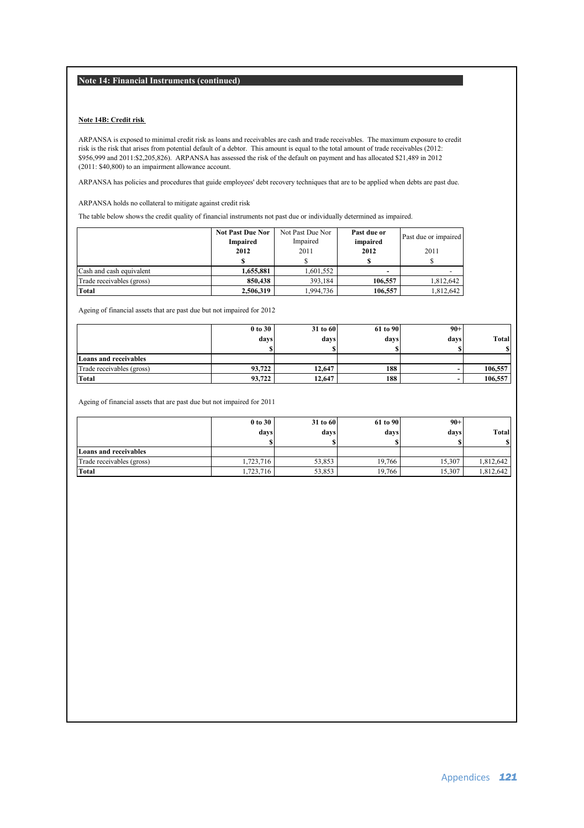**Note 14: Financial Instruments (continued)**

### **Note 14B: Credit risk**

ARPANSA is exposed to minimal credit risk as loans and receivables are cash and trade receivables. The maximum exposure to credit risk is the risk that arises from potential default of a debtor. This amount is equal to the total amount of trade receivables (2012: \$956,999 and 2011:\$2,205,826). ARPANSA has assessed the risk of the default on payment and has allocated \$21,489 in 2012 (2011: \$40,800) to an impairment allowance account.

ARPANSA has policies and procedures that guide employees' debt recovery techniques that are to be applied when debts are past due.

ARPANSA holds no collateral to mitigate against credit risk

The table below shows the credit quality of financial instruments not past due or individually determined as impaired.

|                           | <b>Not Past Due Nor</b><br>Impaired | Not Past Due Nor<br>Impaired | Past due or<br>impaired | Past due or impaired |
|---------------------------|-------------------------------------|------------------------------|-------------------------|----------------------|
|                           | 2012                                | 2011                         | 2012                    | 2011                 |
|                           |                                     |                              |                         |                      |
| Cash and cash equivalent  | 1,655,881                           | 1.601.552                    |                         |                      |
| Trade receivables (gross) | 850,438                             | 393.184                      | 106.557                 | 1.812.642            |
| Total                     | 2,506,319                           | 1,994,736                    | 106.557                 | 1,812,642            |

Ageing of financial assets that are past due but not impaired for 2012

|                              | 0 to 30 | 31 to 60 | 61 to 90 | $90+$ |         |
|------------------------------|---------|----------|----------|-------|---------|
|                              | days    | days     | days     | davs  | Total   |
|                              |         |          |          |       |         |
| <b>Loans and receivables</b> |         |          |          |       |         |
| Trade receivables (gross)    | 93.722  | 12,647   | 188      |       | 106.557 |
| Total                        | 93,722  | 12.647   | 188      |       | 106,557 |

Ageing of financial assets that are past due but not impaired for 2011

|                           | 0 to 30   | 31 to 60 | 61 to 90 | $90+$  |           |
|---------------------------|-----------|----------|----------|--------|-----------|
|                           | days      | davs     | days     | days   | Total     |
|                           |           |          |          |        |           |
| Loans and receivables     |           |          |          |        |           |
| Trade receivables (gross) | 1,723,716 | 53.853   | 19.766   | 15.307 | 1.812.642 |
| Total                     | 1,723,716 | 53.853   | 19.766   | 15.307 | 1.812.642 |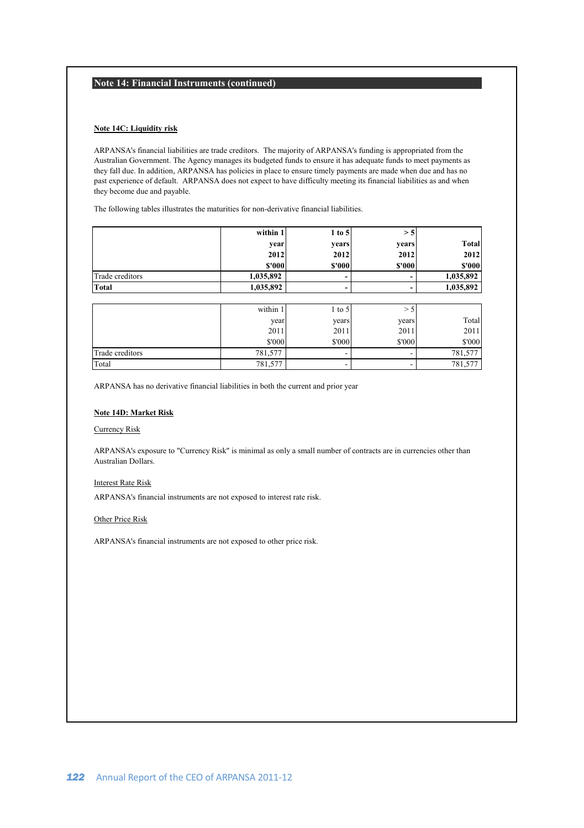### **Note 14: Financial Instruments (continued)**

### **Note 14C: Liquidity risk**

ARPANSA's financial liabilities are trade creditors. The majority of ARPANSA's funding is appropriated from the Australian Government. The Agency manages its budgeted funds to ensure it has adequate funds to meet payments as they fall due. In addition, ARPANSA has policies in place to ensure timely payments are made when due and has no past experience of default. ARPANSA does not expect to have difficulty meeting its financial liabilities as and when they become due and payable.

The following tables illustrates the maturities for non-derivative financial liabilities.

|                 | within 1  | $1$ to $5$ | >5     |           |
|-----------------|-----------|------------|--------|-----------|
|                 | vear      | vears      | vears  | Total     |
|                 | 2012      | 2012       | 2012   | 2012      |
|                 | \$'000    | \$'000     | \$'000 | \$'000    |
| Trade creditors | 1,035,892 | -          |        | 1,035,892 |
| Total           | 1,035,892 | -          |        | 1,035,892 |

|                 | within 1 | 1 to 5 |        |         |
|-----------------|----------|--------|--------|---------|
|                 | year     | vears  | vears  | Total   |
|                 | 2011     | 2011   | 2011   | 2011    |
|                 | \$'000   | \$'000 | \$'000 | \$'000  |
| Trade creditors | 781,577  |        |        | 781,577 |
| Total           | 781,577  | ۰      |        | 781,577 |

ARPANSA has no derivative financial liabilities in both the current and prior year

### **Note 14D: Market Risk**

### Currency Risk

ARPANSA's exposure to "Currency Risk" is minimal as only a small number of contracts are in currencies other than Australian Dollars.

### Interest Rate Risk

ARPANSA's financial instruments are not exposed to interest rate risk.

### Other Price Risk

ARPANSA's financial instruments are not exposed to other price risk.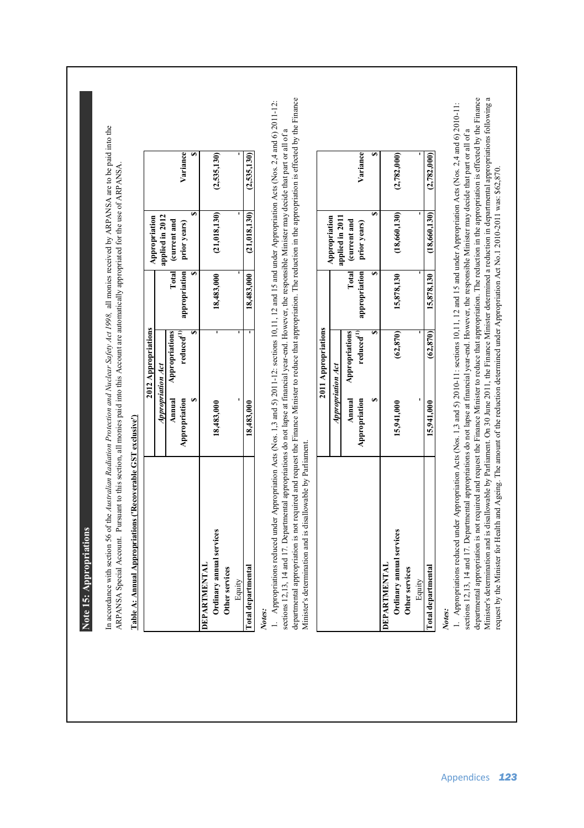Note 15: Appropriations **Note 15: Appropriations**  In accordance with section 56 of the Australian Radiation Protection and Nuclear Safety Act 1998, all monies received by ARPANSA are to be paid into the In accordance with section 56 of the *Australian Radiation Protection and Nuclear Safety Act 1998,* all monies received by ARPANSA are to be paid into the ARPANSA Special Account. Pursuant to this section, all monies paid into this Account are automatically appropriated for the use of ARPANSA. ARPANSA Special Account. Pursuant to this section, all monies paid into this Account are automatically appropriated for the use of ARPANSA.

# Table A: Annual Appropriations ('Recoverable GST exclusive') **Table A: Annual Appropriations ('Recoverable GST exclusive')**

|                           |                   | 2012 Appropriations    |            | Appropriation              |             |
|---------------------------|-------------------|------------------------|------------|----------------------------|-------------|
|                           | Appropriation Act |                        |            | applied in 2012            |             |
|                           |                   | Annual Appropriations  |            | Total (current and         |             |
|                           | Appropriation     | reduced <sup>(1)</sup> |            | appropriation prior years) | Variance    |
|                           |                   |                        |            |                            |             |
| <b>DEPARTMENTAL</b>       |                   |                        |            |                            |             |
| Ordinary annual services  | 18,483,000        |                        | 18,483,000 | (21, 018, 130)             | (2,535,130) |
| Other services            |                   |                        |            |                            |             |
| Equity                    |                   |                        |            |                            |             |
| <b>Total departmental</b> | 18,483,000        |                        |            | $18,483,000$ (21,018,130)  | (2,535,130) |

*Notes:*

departmental appropriation is not required and request the Finance Minister to reduce that appropriation. The reduction in the appropriation is effected by the Finance departmental appropriation is not required and request the Finance Minister to reduce that appropriation. The reduction in the appropriation is effected by the Finance 1. Appropriations reduced under Appropriation Acts (Nos. 1,3 and 5) 2011-12: sections 10,11, 12 and 15 and under Appropriation Acts (Nos. 2,4 and 6) 2011-12: 1. Appropriations reduced under Appropriation Acts (Nos. 1,3 and 5) 2011-12: sections 10,11, 12 and 15 and under Appropriation Acts (Nos. 2,4 and 6) 2011-12: sections 12.13, 14 and 17. Departmental appropriations do not lapse at financial vear-end. However, the responsible Minister may decide that part or all of a sections 12,13, 14 and 17. Departmental appropriations do not lapse at financial year-end. However, the responsible Minister may decide that part or all of a Minister's determination and is disallowable by Parliament. Minister's determination and is disallowable by Parliament.

|                          |                   | 2011 Appropriations                             |               |                                    |             |
|--------------------------|-------------------|-------------------------------------------------|---------------|------------------------------------|-------------|
|                          | Appropriation Act |                                                 |               | Appropriation<br>pplied in 2011    |             |
|                          | Appropriation     | Annual Appropriations<br>reduced <sup>(1)</sup> | appropriation | Total (current and<br>prior years) | Variance    |
|                          |                   |                                                 |               |                                    |             |
| <b>DEPARTMENTAL</b>      |                   |                                                 |               |                                    |             |
| Ordinary annual services | 15,941,000        | (62, 870)                                       | 15,878,130    | (18,660,130)                       | (2,782,000) |
| Other services           |                   |                                                 |               |                                    |             |
| Equity                   |                   |                                                 |               |                                    |             |
| Total departmental       | 15,941,000        | (62, 870)                                       | 15,878,130    | (18,660,130)                       | (2,782,000) |

*Notes:*

departmental appropriation is not required and request the Finance Minister to reduce that appropriation. The reduction in the appropriation is effected by the Finance departmental appropriation is not required and request the Finance Minister to reduce that appropriation. The reduction in the appropriation is effected by the Finance Minister's determination and is disallowable by Parliament. On 30 June 2011, the Finance Minister determined a reduction in departmental appropriations following a Minister's determination and is disallowable by Parliament. On 30 June 2011, the Finance Minister determined a reduction in departmental appropriations following a 1. Appropriations reduced under Appropriation Acts (Nos. 1,3 and 5) 2010-11: sections 10,11, 12 and 15 and under Appropriation Acts (Nos. 2,4 and 6) 2010-11: 1. Appropriations reduced under Appropriation Acts (Nos. 1,3 and 5) 2010-11: sections 10,11, 12 and 15 and under Appropriation Acts (Nos. 2,4 and 6) 2010-11: sections 12,13, 14 and 17. Departmental appropriations do not lapse at financial year-end. However, the responsible Minister may decide that part or all of a sections 12,13, 14 and 17. Departmental appropriations do not lapse at financial year-end. However, the responsible Minister may decide that part or all of a request by the Minister for Health and Ageing. The amount of the reduction determined under Appropriation Act No.1 2010-2011 was: \$62,870. request by the Minister for Health and Ageing. The amount of the reduction determined under Appropriation Act No.1 2010-2011 was: \$62,870.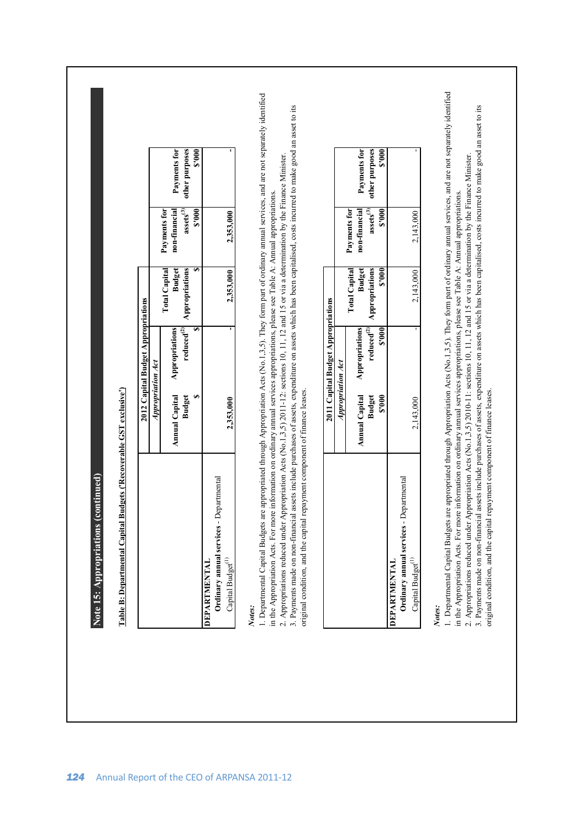|                          |                                             |                                       |                                                                      | 1. Departmental Capital Budgets are appropriated through Appropriation Acts (No.1,3,5). They form part of ordinary amual services, and are not separately identified<br>Notes: |
|--------------------------|---------------------------------------------|---------------------------------------|----------------------------------------------------------------------|--------------------------------------------------------------------------------------------------------------------------------------------------------------------------------|
|                          | 2,143,000                                   | 2,143,000                             | 2,143,000                                                            | Ordinary annual services - Departmental<br>Capital Budget <sup>(1)</sup><br>IMENTAL<br><b>DEPAR</b>                                                                            |
| other purposes<br>\$'000 | $\operatorname{\sf assets}^{(3)}$<br>\$.000 | Appropriations<br>8.000               | reduced $^{\hspace{-0.05cm}(2)}$<br>\$.000<br><b>Budget</b><br>000.5 |                                                                                                                                                                                |
| Payments for             | Payments for<br>non-financial               | <b>Budget</b><br><b>Total Capital</b> | Appropriations<br><b>Annual Capital</b>                              |                                                                                                                                                                                |
|                          |                                             |                                       | Appropriation Act                                                    |                                                                                                                                                                                |
|                          |                                             |                                       | 2011 Capital Budget Appropriations                                   |                                                                                                                                                                                |
|                          |                                             |                                       |                                                                      | Notes:                                                                                                                                                                         |
|                          | 2,353,000                                   | 2,353,000                             | 2,353,000                                                            |                                                                                                                                                                                |
| \$.000                   | \$.000                                      |                                       |                                                                      | Ordinary annual services - Departmental<br>Capital Budget <sup>(1)</sup>                                                                                                       |
| other purposes           | $\operatorname{assets}^{(3)}$               | Appropriations                        | reduced $^{\hspace{-0.05cm}(2)}$<br><b>Budget</b>                    | <b>INTENTAL</b><br><b>DEPAR</b>                                                                                                                                                |
| Payments for             | non-financial                               | <b>Budget</b><br><b>Total Capital</b> |                                                                      |                                                                                                                                                                                |
|                          |                                             |                                       | Appropriations<br><b>Annual Capital</b>                              |                                                                                                                                                                                |
|                          | Payments for                                |                                       | Appropriation Act                                                    |                                                                                                                                                                                |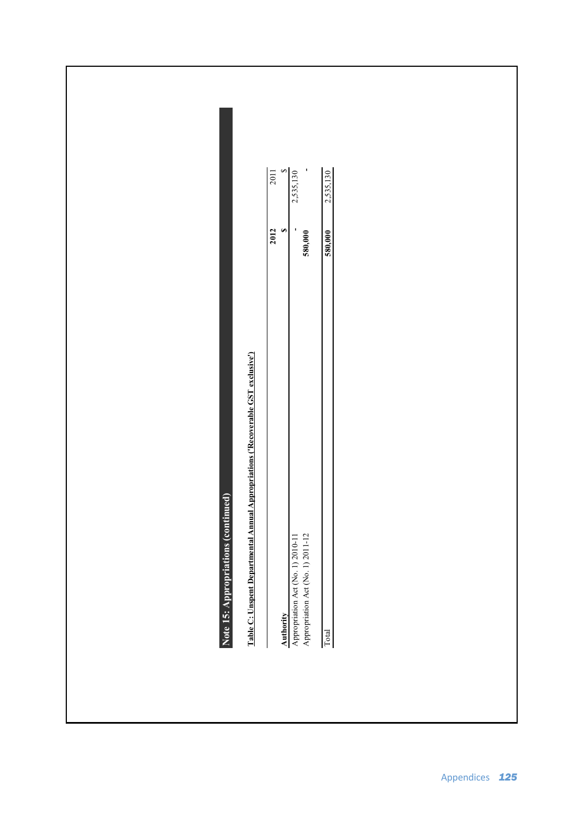$2,535,130$ 2011  $\blacksquare$ 2,535,130 \$ Appropriation Act (No. 1) 2010-11 **-** 2,535,130 Appropriation Act (No. 1) 2011-12 **580,000 -** Total **580,000** 2,535,130 **2012** 2011 **2012**<br>\$  $\overline{\phantom{a}}$ 580,000 580,000 Table C: Unspent Departmental Annual Appropriations ('Recoverable GST exclusive') **Table C: Unspent Departmental Annual Appropriations ('Recoverable GST exclusive')** Note 15: Appropriations (continued) **Note 15: Appropriations (continued) Authority**<br>Appropriation Act (No. 1) 2010-11<br>Appropriation Act (No. 1) 2011-12 Total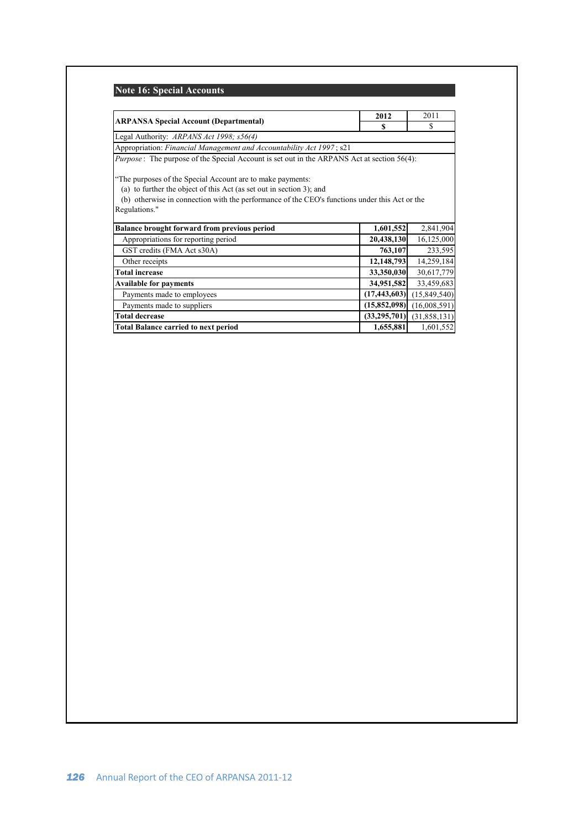# **Note 16: Special Accounts**

|                                                                                                    | 2012           | 2011           |  |
|----------------------------------------------------------------------------------------------------|----------------|----------------|--|
| <b>ARPANSA Special Account (Departmental)</b>                                                      | S              | S              |  |
| Legal Authority: ARPANS Act 1998; s56(4)                                                           |                |                |  |
| Appropriation: Financial Management and Accountability Act 1997; s21                               |                |                |  |
| <i>Purpose</i> : The purpose of the Special Account is set out in the ARPANS Act at section 56(4): |                |                |  |
|                                                                                                    |                |                |  |
| "The purposes of the Special Account are to make payments:                                         |                |                |  |
| (a) to further the object of this Act (as set out in section 3); and                               |                |                |  |
| (b) otherwise in connection with the performance of the CEO's functions under this Act or the      |                |                |  |
| Regulations."                                                                                      |                |                |  |
| <b>Balance brought forward from previous period</b>                                                | 1,601,552      | 2,841,904      |  |
| Appropriations for reporting period                                                                | 20,438,130     | 16,125,000     |  |
| GST credits (FMA Act s30A)                                                                         | 763,107        | 233,595        |  |
| Other receipts                                                                                     | 12,148,793     | 14,259,184     |  |
| <b>Total increase</b>                                                                              | 33,350,030     | 30,617,779     |  |
| <b>Available for payments</b>                                                                      | 34,951,582     | 33,459,683     |  |
| Payments made to employees                                                                         | (17, 443, 603) | (15,849,540)   |  |
| Payments made to suppliers                                                                         | (15, 852, 098) | (16,008,591)   |  |
| <b>Total decrease</b>                                                                              | (33, 295, 701) | (31, 858, 131) |  |
| <b>Total Balance carried to next period</b>                                                        | 1,655,881      | 1,601,552      |  |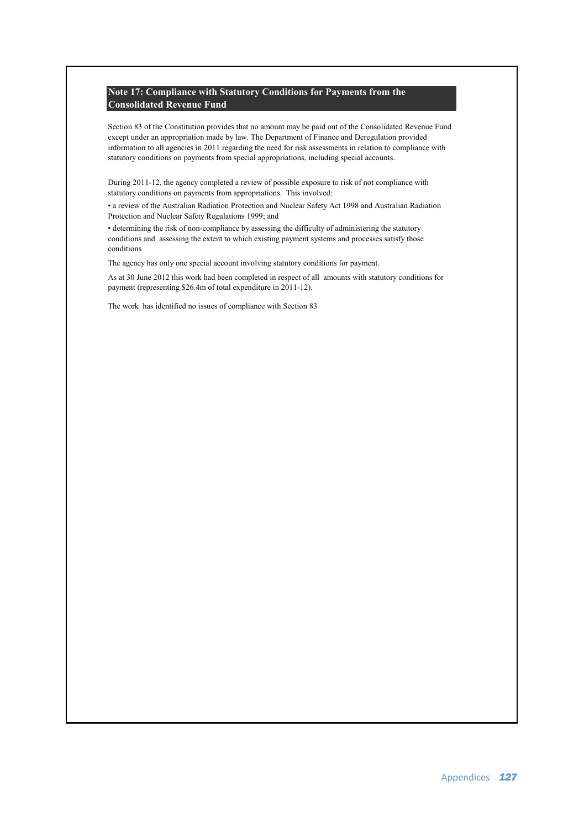### **Note 17: Compliance with Statutory Conditions for Payments from the Consolidated Revenue Fund**

Section 83 of the Constitution provides that no amount may be paid out of the Consolidated Revenue Fund except under an appropriation made by law. The Department of Finance and Deregulation provided information to all agencies in 2011 regarding the need for risk assessments in relation to compliance with statutory conditions on payments from special appropriations, including special accounts.

During 2011-12, the agency completed a review of possible exposure to risk of not compliance with statutory conditions on payments from appropriations. This involved:

• a review of the Australian Radiation Protection and Nuclear Safety Act 1998 and Australian Radiation Protection and Nuclear Safety Regulations 1999; and

• determining the risk of non-compliance by assessing the difficulty of administering the statutory conditions and assessing the extent to which existing payment systems and processes satisfy those conditions

The agency has only one special account involving statutory conditions for payment.

As at 30 June 2012 this work had been completed in respect of all amounts with statutory conditions for payment (representing \$26.4m of total expenditure in 2011-12).

The work has identified no issues of compliance with Section 83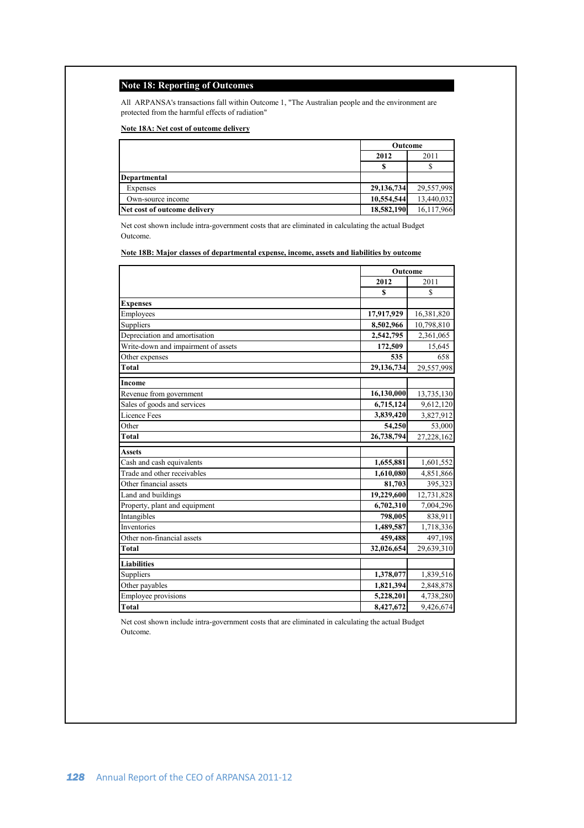### **Note 18: Reporting of Outcomes**

All ARPANSA's transactions fall within Outcome 1, "The Australian people and the environment are protected from the harmful effects of radiation"

### **Note 18A: Net cost of outcome delivery**

|                              | Outcome    |            |
|------------------------------|------------|------------|
|                              | 2012       | 2011       |
|                              |            |            |
| Departmental                 |            |            |
| Expenses                     | 29,136,734 | 29,557,998 |
| Own-source income            | 10.554.544 | 13.440.032 |
| Net cost of outcome delivery | 18,582,190 | 16,117,966 |

Net cost shown include intra-government costs that are eliminated in calculating the actual Budget Outcome.

### **Note 18B: Major classes of departmental expense, income, assets and liabilities by outcome**

|                                     | Outcome    |            |
|-------------------------------------|------------|------------|
|                                     | 2012       | 2011       |
|                                     | S          | S          |
| <b>Expenses</b>                     |            |            |
| Employees                           | 17,917,929 | 16,381,820 |
| Suppliers                           | 8,502,966  | 10,798,810 |
| Depreciation and amortisation       | 2,542,795  | 2,361,065  |
| Write-down and impairment of assets | 172,509    | 15,645     |
| Other expenses                      | 535        | 658        |
| Total                               | 29,136,734 | 29,557,998 |
| Income                              |            |            |
| Revenue from government             | 16,130,000 | 13,735,130 |
| Sales of goods and services         | 6,715,124  | 9,612,120  |
| Licence Fees                        | 3,839,420  | 3,827,912  |
| Other                               | 54,250     | 53,000     |
| Total                               | 26,738,794 | 27,228,162 |
| <b>Assets</b>                       |            |            |
| Cash and cash equivalents           | 1,655,881  | 1,601,552  |
| Trade and other receivables         | 1,610,080  | 4,851,866  |
| Other financial assets              | 81.703     | 395,323    |
| Land and buildings                  | 19,229,600 | 12,731,828 |
| Property, plant and equipment       | 6,702,310  | 7,004,296  |
| Intangibles                         | 798,005    | 838,911    |
| Inventories                         | 1,489,587  | 1,718,336  |
| Other non-financial assets          | 459,488    | 497,198    |
| Total                               | 32,026,654 | 29,639,310 |
| <b>Liabilities</b>                  |            |            |
| Suppliers                           | 1,378,077  | 1,839,516  |
| Other payables                      | 1,821,394  | 2,848,878  |
| <b>Employee provisions</b>          | 5,228,201  | 4,738,280  |
| Total                               | 8,427,672  | 9,426,674  |

Net cost shown include intra-government costs that are eliminated in calculating the actual Budget Outcome.